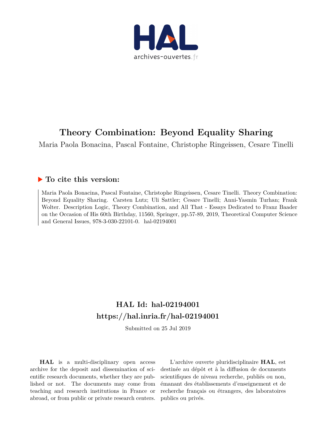

# **Theory Combination: Beyond Equality Sharing**

Maria Paola Bonacina, Pascal Fontaine, Christophe Ringeissen, Cesare Tinelli

## **To cite this version:**

Maria Paola Bonacina, Pascal Fontaine, Christophe Ringeissen, Cesare Tinelli. Theory Combination: Beyond Equality Sharing. Carsten Lutz; Uli Sattler; Cesare Tinelli; Anni-Yasmin Turhan; Frank Wolter. Description Logic, Theory Combination, and All That - Essays Dedicated to Franz Baader on the Occasion of His 60th Birthday, 11560, Springer, pp.57-89, 2019, Theoretical Computer Science and General Issues, 978-3-030-22101-0. hal-02194001

## **HAL Id: hal-02194001 <https://hal.inria.fr/hal-02194001>**

Submitted on 25 Jul 2019

**HAL** is a multi-disciplinary open access archive for the deposit and dissemination of scientific research documents, whether they are published or not. The documents may come from teaching and research institutions in France or abroad, or from public or private research centers.

L'archive ouverte pluridisciplinaire **HAL**, est destinée au dépôt et à la diffusion de documents scientifiques de niveau recherche, publiés ou non, émanant des établissements d'enseignement et de recherche français ou étrangers, des laboratoires publics ou privés.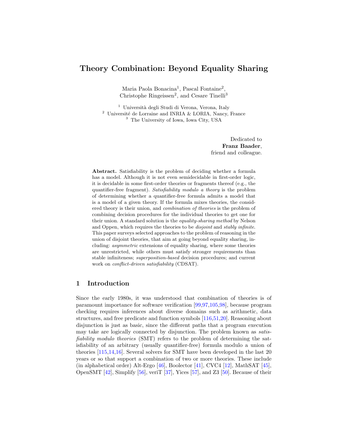## Theory Combination: Beyond Equality Sharing

Maria Paola Bonacina<sup>1</sup>, Pascal Fontaine<sup>2</sup>, Christophe Ringeissen<sup>2</sup>, and Cesare Tinelli<sup>3</sup>

<sup>1</sup> Università degli Studi di Verona, Verona, Italy  $^2$ Université de Lorraine and INRIA & LORIA, Nancy, France <sup>3</sup> The University of Iowa, Iowa City, USA

> Dedicated to Franz Baader, friend and colleague.

Abstract. Satisfiability is the problem of deciding whether a formula has a model. Although it is not even semidecidable in first-order logic, it is decidable in some first-order theories or fragments thereof (e.g., the quantifier-free fragment). Satisfiability modulo a theory is the problem of determining whether a quantifier-free formula admits a model that is a model of a given theory. If the formula mixes theories, the considered theory is their union, and combination of theories is the problem of combining decision procedures for the individual theories to get one for their union. A standard solution is the equality-sharing method by Nelson and Oppen, which requires the theories to be *disjoint* and *stably infinite*. This paper surveys selected approaches to the problem of reasoning in the union of disjoint theories, that aim at going beyond equality sharing, including: asymmetric extensions of equality sharing, where some theories are unrestricted, while others must satisfy stronger requirements than stable infiniteness; superposition-based decision procedures; and current work on conflict-driven satisfiability (CDSAT).

## 1 Introduction

Since the early 1980s, it was understood that combination of theories is of paramount importance for software verification [\[99](#page-31-0)[,97,](#page-31-1)[105,](#page-32-0)[98\]](#page-31-2), because program checking requires inferences about diverse domains such as arithmetic, data structures, and free predicate and function symbols [\[116,](#page-32-1)[51,](#page-29-0)[20\]](#page-27-0). Reasoning about disjunction is just as basic, since the different paths that a program execution may take are logically connected by disjunction. The problem known as satisfiability modulo theories (SMT) refers to the problem of determining the satisfiability of an arbitrary (usually quantifier-free) formula modulo a union of theories [\[115,](#page-32-2)[14](#page-27-1)[,16\]](#page-27-2). Several solvers for SMT have been developed in the last 20 years or so that support a combination of two or more theories. These include (in alphabetical order) Alt-Ergo [\[46\]](#page-29-1), Boolector [\[41\]](#page-28-0), CVC4 [\[12\]](#page-27-3), MathSAT [\[45\]](#page-29-2), OpenSMT [\[42\]](#page-28-1), Simplify [\[56\]](#page-29-3), veriT [\[37\]](#page-28-2), Yices [\[57\]](#page-29-4), and Z3 [\[50\]](#page-29-5). Because of their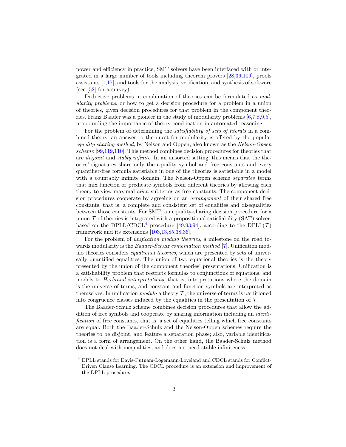power and efficiency in practice, SMT solvers have been interfaced with or integrated in a large number of tools including theorem provers [\[28,](#page-28-3)[36,](#page-28-4)[109\]](#page-32-3), proofs assistants [\[1,](#page-26-0)[17\]](#page-27-4), and tools for the analysis, verification, and synthesis of software (see  $[52]$  for a survey).

Deductive problems in combination of theories can be formulated as modularity problems, or how to get a decision procedure for a problem in a union of theories, given decision procedures for that problem in the component theories. Franz Baader was a pioneer in the study of modularity problems [\[6,](#page-26-1)[7,](#page-26-2)[8,](#page-27-5)[9,](#page-27-6)[5\]](#page-26-3), propounding the importance of theory combination in automated reasoning.

For the problem of determining the satisfiability of sets of literals in a combined theory, an answer to the quest for modularity is offered by the popular equality sharing method, by Nelson and Oppen, also known as the Nelson-Oppen scheme [\[99,](#page-31-0)[119,](#page-32-4)[110\]](#page-32-5). This method combines decision procedures for theories that are disjoint and stably infinite. In an unsorted setting, this means that the theories' signatures share only the equality symbol and free constants and every quantifier-free formula satisfiable in one of the theories is satisfiable in a model with a countably infinite domain. The Nelson-Oppen scheme *separates* terms that mix function or predicate symbols from different theories by allowing each theory to view maximal alien subterms as free constants. The component decision procedures cooperate by agreeing on an arrangement of their shared free constants, that is, a complete and consistent set of equalities and disequalities between those constants. For SMT, an equality-sharing decision procedure for a union  $\mathcal T$  of theories is integrated with a propositional satisfiability (SAT) solver, based on the DPLL/CDCL<sup>[4](#page-2-0)</sup> procedure [\[49](#page-29-7)[,93,](#page-31-3)[94\]](#page-31-4), according to the DPLL( $\mathcal{T}$ ) framework and its extensions [\[103,](#page-32-6)[13](#page-27-7)[,85,](#page-31-5)[38,](#page-28-5)[36\]](#page-28-4).

For the problem of unification modulo theories, a milestone on the road towards modularity is the *Baader-Schulz combination method* [\[7\]](#page-26-2). Unification modulo theories considers *equational theories*, which are presented by sets of universally quantified equalities. The union of two equational theories is the theory presented by the union of the component theories' presentations. Unification is a satisfiability problem that restricts formulas to conjunctions of equations, and models to *Herbrand interpretations*, that is, interpretations where the domain is the universe of terms, and constant and function symbols are interpreted as themselves. In unification modulo a theory  $\mathcal{T}$ , the universe of terms is partitioned into congruence classes induced by the equalities in the presentation of  $\mathcal{T}$ .

The Baader-Schulz scheme combines decision procedures that allow the addition of free symbols and cooperate by sharing information including an identification of free constants, that is, a set of equalities telling which free constants are equal. Both the Baader-Schulz and the Nelson-Oppen schemes require the theories to be disjoint, and feature a separation phase; also, variable identification is a form of arrangement. On the other hand, the Baader-Schulz method does not deal with inequalities, and does not need stable infiniteness.

<span id="page-2-0"></span> $^4$  DPLL stands for Davis-Putnam-Logemann-Loveland and CDCL stands for Conflict-Driven Clause Learning. The CDCL procedure is an extension and improvement of the DPLL procedure.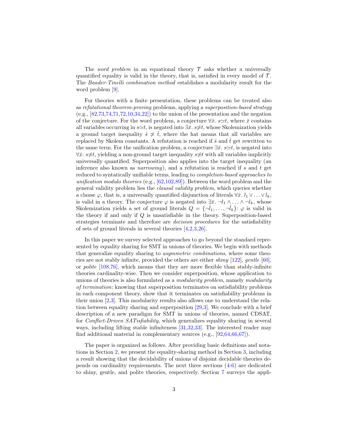The *word problem* in an equational theory  $\mathcal T$  asks whether a universally quantified equality is valid in the theory, that is, satisfied in every model of  $\mathcal{T}$ . The Baader-Tinelli combination method establishes a modularity result for the word problem [\[9\]](#page-27-6).

For theories with a finite presentation, these problems can be treated also as refutational theorem-proving problems, applying a superposition-based strategy  $(e.g., [82, 73, 74, 71, 72, 10, 34, 22])$  $(e.g., [82, 73, 74, 71, 72, 10, 34, 22])$  $(e.g., [82, 73, 74, 71, 72, 10, 34, 22])$  $(e.g., [82, 73, 74, 71, 72, 10, 34, 22])$  $(e.g., [82, 73, 74, 71, 72, 10, 34, 22])$  $(e.g., [82, 73, 74, 71, 72, 10, 34, 22])$  $(e.g., [82, 73, 74, 71, 72, 10, 34, 22])$  $(e.g., [82, 73, 74, 71, 72, 10, 34, 22])$  $(e.g., [82, 73, 74, 71, 72, 10, 34, 22])$  to the union of the presentation and the negation of the conjecture. For the word problem, a conjecture  $\forall \bar{x}$ .  $s \simeq t$ , where  $\bar{x}$  contains all variables occurring in  $s \simeq t$ , is negated into  $\exists \bar{x}$ .  $s \not\approx t$ , whose Skolemization yields a ground target inequality  $\hat{s} \not\approx \hat{t}$ , where the hat means that all variables are replaced by Skolem constants. A refutation is reached if  $\hat{s}$  and  $\hat{t}$  get rewritten to the same term. For the unification problem, a conjecture  $\exists \bar{x}$ .  $s \simeq t$ , is negated into  $\forall \bar{x}$ . s $\neq t$ , yielding a non-ground target inequality s $\neq t$  with all variables implicitly universally quantified. Superposition also applies into the target inequality (an inference also known as *narrowing*), and a refutation is reached if s and t get reduced to syntatically unifiable terms, leading to completion-based approaches to unification modulo theories (e.g.,  $[62,102,89]$  $[62,102,89]$  $[62,102,89]$ ). Between the word problem and the general validity problem lies the clausal validity problem, which queries whether a clause  $\varphi$ , that is, a universally quantified disjunction of literals  $\forall \bar{x}$ .  $l_1 \vee \ldots \vee l_k$ , is valid in a theory. The conjecture  $\varphi$  is negated into  $\exists \bar{x}$ .  $\neg l_1 \wedge \dots \wedge \neg l_k$ , whose Skolemization yields a set of ground literals  $Q = \{\neg \hat{i}_1, \dots, \neg \hat{i}_k\}$ :  $\varphi$  is valid in the theory if and only if  $Q$  is unsatisfiable in the theory. Superposition-based strategies terminate and therefore are *decision procedures* for the satisfiability of sets of ground literals in several theories [\[4,](#page-26-4)[2](#page-26-5)[,3,](#page-26-6)[26\]](#page-27-10).

In this paper we survey selected approaches to go beyond the standard represented by equality sharing for SMT in unions of theories. We begin with methods that generalize equality sharing to asymmetric combinations, where some theories are not stably infinite, provided the others are either shiny [\[122\]](#page-33-0), gentle [\[60\]](#page-29-9), or polite [\[108,](#page-32-8)[76\]](#page-30-4), which means that they are more flexible than stably-infinite theories cardinality-wise. Then we consider superposition, whose application to unions of theories is also formulated as a modularity problem, namely modularity of termination: knowing that superposition terminates on satisfiability problems in each component theory, show that it terminates on satisfiability problems in their union [\[2](#page-26-5)[,3\]](#page-26-6). This modularity results also allows one to understand the relation between equality sharing and superposition [\[29](#page-28-7)[,3\]](#page-26-6). We conclude with a brief description of a new paradigm for SMT in unions of theories, named CDSAT, for Conflict-Driven SATisfiability, which generalizes equality sharing in several ways, including lifting stable infiniteness [\[31](#page-28-8)[,32,](#page-28-9)[33\]](#page-28-10). The interested reader may find additional material in complementary sources (e.g., [\[92,](#page-31-8)[64,](#page-30-5)[66,](#page-30-6)[67\]](#page-30-7)).

The paper is organized as follows. After providing basic definitions and notations in Section [2,](#page-4-0) we present the equality-sharing method in Section [3,](#page-6-0) including a result showing that the decidability of unions of disjoint decidable theories depends on cardinality requirements. The next three sections [\(4-](#page-9-0)[6\)](#page-12-0) are dedicated to shiny, gentle, and polite theories, respectively. Section [7](#page-17-0) surveys the appli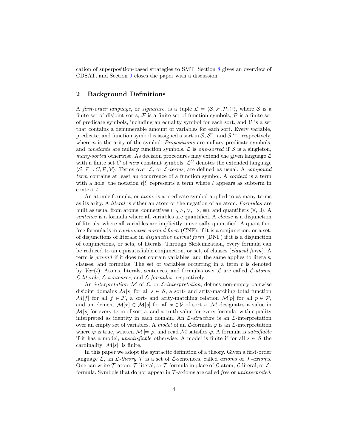cation of superposition-based strategies to SMT. Section [8](#page-23-0) gives an overview of CDSAT, and Section [9](#page-26-7) closes the paper with a discussion.

## <span id="page-4-0"></span>2 Background Definitions

A first-order language, or signature, is a tuple  $\mathcal{L} = \langle \mathcal{S}, \mathcal{F}, \mathcal{P}, \mathcal{V} \rangle$ , where S is a finite set of disjoint sorts,  $\mathcal F$  is a finite set of function symbols,  $\mathcal P$  is a finite set of predicate symbols, including an equality symbol for each sort, and  $V$  is a set that contains a denumerable amount of variables for each sort. Every variable, predicate, and function symbol is assigned a sort in  $S, S<sup>n</sup>$ , and  $S<sup>n+1</sup>$  respectively, where  $n$  is the arity of the symbol. *Propositions* are nullary predicate symbols, and constants are nullary function symbols.  $\mathcal L$  is one-sorted if  $\mathcal S$  is a singleton, many-sorted otherwise. As decision procedures may extend the given language  $\mathcal{L}$ with a finite set C of new constant symbols,  $\mathcal{L}^C$  denotes the extended language  $\langle \mathcal{S}, \mathcal{F} \cup C, \mathcal{P}, \mathcal{V} \rangle$ . Terms over L, or L-terms, are defined as usual. A compound term contains at least an occurrence of a function symbol. A context is a term with a hole: the notation  $t[l]$  represents a term where l appears as subterm in context t.

An atomic formula, or *atom*, is a predicate symbol applied to as many terms as its arity. A literal is either an atom or the negation of an atom. Formulas are built as usual from atoms, connectives  $(\neg, \wedge, \vee, \Rightarrow, \equiv)$ , and quantifiers  $(\forall, \exists)$ . A sentence is a formula where all variables are quantified. A *clause* is a disjunction of literals, where all variables are implicitly universally quantified. A quantifierfree formula is in conjunctive normal form (CNF), if it is a conjunction, or a set, of disjunctions of literals; in disjunctive normal form (DNF) if it is a disjunction of conjunctions, or sets, of literals. Through Skolemization, every formula can be reduced to an equisatisfiable conjunction, or set, of clauses (clausal form). A term is ground if it does not contain variables, and the same applies to literals, clauses, and formulas. The set of variables occurring in a term  $t$  is denoted by  $Var(t)$ . Atoms, literals, sentences, and formulas over  $\mathcal L$  are called  $\mathcal L$ -atoms,  $\mathcal{L}\text{-}literals, \mathcal{L}\text{-}sentences, \text{ and } \mathcal{L}\text{-}formulas, \text{respectively.}$ 

An *interpretation*  $M$  of  $\mathcal{L}$ , or  $\mathcal{L}\text{-}interpretation$ , defines non-empty pairwise disjoint domains  $\mathcal{M}[s]$  for all  $s \in \mathcal{S}$ , a sort- and arity-matching total function  $\mathcal{M}[f]$  for all  $f \in \mathcal{F}$ , a sort- and arity-matching relation  $\mathcal{M}[p]$  for all  $p \in \mathcal{P}$ , and an element  $\mathcal{M}[x] \in \mathcal{M}[s]$  for all  $x \in \mathcal{V}$  of sort s. M designates a value in  $\mathcal{M}[s]$  for every term of sort s, and a truth value for every formula, with equality interpreted as identity in each domain. An  $\mathcal{L}\text{-}structure$  is an  $\mathcal{L}\text{-}interpretation$ over an empty set of variables. A model of an  $\mathcal{L}$ -formula  $\varphi$  is an  $\mathcal{L}$ -interpretation where  $\varphi$  is true, written  $\mathcal{M} \models \varphi$ , and read  $\mathcal M$  satisfies  $\varphi$ . A formula is *satisfiable* if it has a model, *unsatisfiable* otherwise. A model is finite if for all  $s \in \mathcal{S}$  the cardinality  $|\mathcal{M}[s]|$  is finite.

In this paper we adopt the syntactic definition of a theory. Given a first-order language  $\mathcal{L}$ , an  $\mathcal{L}\text{-theory }\mathcal{T}$  is a set of  $\mathcal{L}\text{-sentences}$ , called *axioms* or  $\mathcal{T}\text{-axioms}$ . One can write  $\mathcal T$ -atom,  $\mathcal T$ -literal, or  $\mathcal T$ -formula in place of  $\mathcal L$ -atom,  $\mathcal L$ -literal, or  $\mathcal L$ formula. Symbols that do not appear in  $\mathcal T$ -axioms are called free or uninterpreted.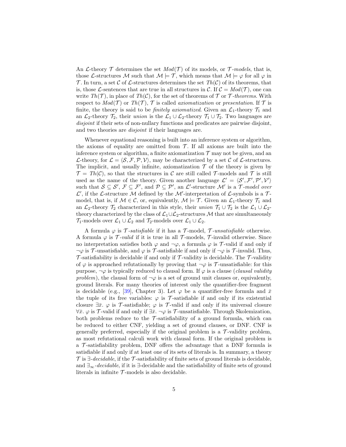An L-theory  $\mathcal T$  determines the set  $Mod(\mathcal T)$  of its models, or  $\mathcal T$ -models, that is, those L-structures M such that  $\mathcal{M} \models \mathcal{T}$ , which means that  $\mathcal{M} \models \varphi$  for all  $\varphi$  in T. In turn, a set C of L-structures determines the set  $Th(\mathcal{C})$  of its theorems, that is, those L-sentences that are true in all structures in C. If  $C = Mod(\mathcal{T})$ , one can write  $Th(\mathcal{T})$ , in place of  $Th(\mathcal{C})$ , for the set of theorems of  $\mathcal T$  or  $\mathcal T$ -theorems. With respect to  $Mod(\mathcal{T})$  or  $Th(\mathcal{T})$ ,  $\mathcal{T}$  is called axiomatization or presentation. If  $\mathcal{T}$  is finite, the theory is said to be *finitely axiomatized*. Given an  $\mathcal{L}_1$ -theory  $\mathcal{T}_1$  and an  $\mathcal{L}_2$ -theory  $\mathcal{T}_2$ , their *union* is the  $\mathcal{L}_1 \cup \mathcal{L}_2$ -theory  $\mathcal{T}_1 \cup \mathcal{T}_2$ . Two languages are disjoint if their sets of non-nullary functions and predicates are pairwise disjoint, and two theories are disjoint if their languages are.

Whenever equational reasoning is built into an inference system or algorithm, the axioms of equality are omitted from  $\mathcal{T}$ . If all axioms are built into the inference system or algorithm, a finite axiomatization  $\mathcal T$  may not be given, and an L-theory, for  $\mathcal{L} = \langle \mathcal{S}, \mathcal{F}, \mathcal{P}, \mathcal{V} \rangle$ , may be characterized by a set C of L-structures. The implicit, and usually infinite, axiomatization  $\mathcal T$  of the theory is given by  $\mathcal{T} = Th(\mathcal{C})$ , so that the structures in  $\mathcal{C}$  are still called  $\mathcal{T}$ -models and  $\mathcal{T}$  is still used as the name of the theory. Given another language  $\mathcal{L}' = \langle \mathcal{S}', \mathcal{F}', \mathcal{P}', \mathcal{V}' \rangle$ such that  $S \subseteq S'$ ,  $\mathcal{F} \subseteq \mathcal{F}'$ , and  $\mathcal{P} \subseteq \mathcal{P}'$ , an  $\mathcal{L}'$ -structure  $\mathcal{M}'$  is a  $\mathcal{T}$ -model over  $\mathcal{L}'$ , if the L-structure M defined by the M'-interpretation of L-symbols is a Tmodel, that is, if  $M \in \mathcal{C}$ , or, equivalently,  $M \models \mathcal{T}$ . Given an  $\mathcal{L}_1$ -theory  $\mathcal{T}_1$  and an  $\mathcal{L}_2$ -theory  $\mathcal{T}_2$  characterized in this style, their union  $\mathcal{T}_1 \cup \mathcal{T}_2$  is the  $\mathcal{L}_1 \cup \mathcal{L}_2$ theory characterized by the class of  $\mathcal{L}_1 \cup \mathcal{L}_2$ -structures M that are simultaneously  $\mathcal{T}_1$ -models over  $\mathcal{L}_1 \cup \mathcal{L}_2$  and  $\mathcal{T}_2$ -models over  $\mathcal{L}_1 \cup \mathcal{L}_2$ .

A formula  $\varphi$  is T-satisfiable if it has a T-model, T-unsatisfiable otherwise. A formula  $\varphi$  is T-valid if it is true in all T-models, T-invalid otherwise. Since no interpretation satisfies both  $\varphi$  and  $\neg \varphi$ , a formula  $\varphi$  is T-valid if and only if  $\neg \varphi$  is T-unsatisfiable, and  $\varphi$  is T-satisfiable if and only if  $\neg \varphi$  is T-invalid. Thus,  $\mathcal T$ -satisfiability is decidable if and only if  $\mathcal T$ -validity is decidable. The  $\mathcal T$ -validity of  $\varphi$  is approached refutationally by proving that  $\neg \varphi$  is T-unsatisfiable: for this purpose,  $\neg \varphi$  is typically reduced to clausal form. If  $\varphi$  is a clause (*clausal validity* problem), the clausal form of  $\neg \varphi$  is a set of ground unit clauses or, equivalently, ground literals. For many theories of interest only the quantifier-free fragment is decidable (e.g., [\[39\]](#page-28-11), Chapter 3). Let  $\varphi$  be a quantifier-free formula and  $\bar{x}$ the tuple of its free variables:  $\varphi$  is T-satisfiable if and only if its existential closure  $\exists \bar{x}$ .  $\varphi$  is  $\mathcal{T}$ -satisfiable;  $\varphi$  is  $\mathcal{T}$ -valid if and only if its universal closure  $\forall \bar{x}$ .  $\varphi$  is  $\mathcal{T}$ -valid if and only if  $\exists \bar{x}$ .  $\neg \varphi$  is  $\mathcal{T}$ -unsatisfiable. Through Skolemization, both problems reduce to the  $\mathcal T$ -satisfiability of a ground formula, which can be reduced to either CNF, yielding a set of ground clauses, or DNF. CNF is generally preferred, especially if the original problem is a  $\mathcal{T}$ -validity problem, as most refutational calculi work with clausal form. If the original problem is a  $\mathcal T$ -satisfiability problem, DNF offers the advantage that a DNF formula is satisfiable if and only if at least one of its sets of literals is. In summary, a theory  $\mathcal T$  is  $\exists$ -decidable, if the  $\mathcal T$ -satisfiability of finite sets of ground literals is decidable, and  $\exists_{\infty}$ -decidable, if it is  $\exists$ -decidable and the satisfiability of finite sets of ground literals in infinite  $\mathcal{T}$ -models is also decidable.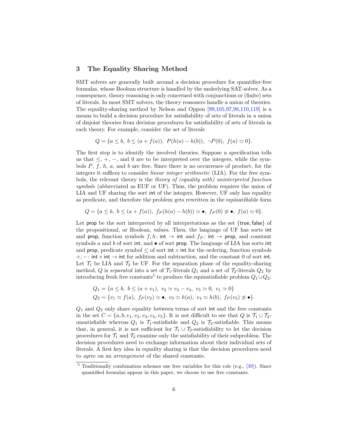#### <span id="page-6-0"></span>3 The Equality Sharing Method

SMT solvers are generally built around a decision procedure for quantifier-free formulas, whose Boolean structure is handled by the underlying SAT-solver. As a consequence, theory reasoning is only concerned with conjunctions or (finite) sets of literals. In most SMT solvers, the theory reasoners handle a union of theories. The equality-sharing method by Nelson and Oppen [\[99,](#page-31-0)[105,](#page-32-0)[97,](#page-31-1)[98,](#page-31-2)[110,](#page-32-5)[119\]](#page-32-4) is a means to build a decision procedure for satisfiability of sets of literals in a union of disjoint theories from decision procedures for satisfiability of sets of literals in each theory. For example, consider the set of literals

 $Q = \{a \leq b, b \leq (a + f(a)), P(h(a) - h(b)), \neg P(0), f(a) \simeq 0\}.$ 

The first step is to identify the involved theories. Suppose a specification tells us that  $\leq$ ,  $+$ ,  $-$ , and 0 are to be interpreted over the integers, while the symbols  $P$ ,  $f$ ,  $h$ ,  $a$ , and  $b$  are free. Since there is no occurrence of product, for the integers it suffices to consider *linear integer arithmetic* (LIA). For the free symbols, the relevant theory is the theory of (equality with) uninterpreted function symbols (abbreviated as EUF or UF). Thus, the problem requires the union of LIA and UF sharing the sort int of the integers. However, UF only has equality as predicate, and therefore the problem gets rewritten in the equisatifiable form

 $Q = \{a \leq b, b \leq (a + f(a)), f_P(h(a) - h(b)) \simeq \bullet, f_P(0) \not\simeq \bullet, f(a) \simeq 0\}.$ 

Let prop be the sort interpreted by all interpretations as the set {true, false} of the propositional, or Boolean, values. Then, the language of UF has sorts int and prop, function symbols  $f, h: \text{int} \rightarrow \text{int}$  and  $f_P: \text{int} \rightarrow \text{prop}$ , and constant symbols a and b of sort int, and  $\bullet$  of sort prop. The language of LIA has sorts int and **prop**, predicate symbol  $\leq$  of sort int  $\times$  int for the ordering, function symbols  $+,-:$  int  $\times$  int  $\rightarrow$  int for addition and subtraction, and the constant 0 of sort int. Let  $\mathcal{T}_1$  be LIA and  $\mathcal{T}_2$  be UF. For the separation phase of the equality-sharing method, Q is separated into a set of  $\mathcal{T}_1$ -literals  $Q_1$  and a set of  $\mathcal{T}_2$ -literals  $Q_2$  by introducing fresh free constants<sup>[5](#page-6-1)</sup> to produce the equisatisfiable problem  $Q_1 \cup Q_2$ :

$$
Q_1 = \{a \le b, b \le (a + v_1), v_2 \simeq v_3 - v_4, v_5 \simeq 0, v_1 \simeq 0\}
$$
  

$$
Q_2 = \{v_1 \simeq f(a), f_P(v_2) \simeq \bullet, v_3 \simeq h(a), v_4 \simeq h(b), f_P(v_5) \not\cong \bullet\}.
$$

 $Q_1$  and  $Q_2$  only share equality between terms of sort int and the free constants in the set  $C = \{a, b, v_1, v_2, v_3, v_4, v_5\}$ . It is not difficult to see that Q is  $\mathcal{T}_1 \cup \mathcal{T}_2$ unsatisfiable whereas  $Q_1$  is  $\mathcal{T}_1$ -satisfiable and  $Q_2$  is  $\mathcal{T}_2$ -satisfiable. This means that, in general, it is not sufficient for  $\mathcal{T}_1 \cup \mathcal{T}_2$ -satisfiability to let the decision procedures for  $\mathcal{T}_1$  and  $\mathcal{T}_2$  examine only the satisfiability of their subproblem. The decision procedures need to exchange information about their individual sets of literals. A first key idea in equality sharing is that the decision procedures need to agree on an arrangement of the shared constants.

<span id="page-6-1"></span> $5$  Traditionally combination schemes use free variables for this role (e.g., [\[39\]](#page-28-11)). Since quantified formulas appear in this paper, we choose to use free constants.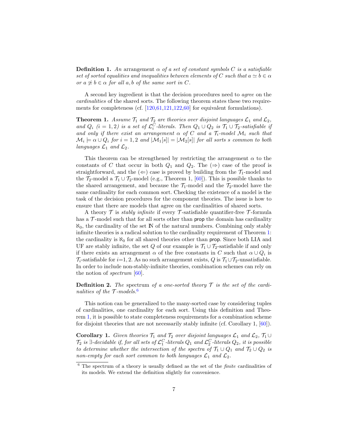**Definition 1.** An arrangement  $\alpha$  of a set of constant symbols C is a satisfiable set of sorted equalities and inequalities between elements of C such that  $a \simeq b \in \alpha$ or  $a \not\cong b \in \alpha$  for all  $a, b$  of the same sort in C.

A second key ingredient is that the decision procedures need to agree on the cardinalities of the shared sorts. The following theorem states these two requirements for completeness (cf.  $[120,61,121,122,60]$  $[120,61,121,122,60]$  $[120,61,121,122,60]$  $[120,61,121,122,60]$  $[120,61,121,122,60]$  for equivalent formulations).

<span id="page-7-0"></span>**Theorem 1.** Assume  $\mathcal{T}_1$  and  $\mathcal{T}_2$  are theories over disjoint languages  $\mathcal{L}_1$  and  $\mathcal{L}_2$ , and  $Q_i$  (i = 1,2) is a set of  $\mathcal{L}_i^C$ -literals. Then  $Q_1 \cup Q_2$  is  $\mathcal{T}_1 \cup \mathcal{T}_2$ -satisfiable if and only if there exist an arrangement  $\alpha$  of C and a  $\mathcal{T}_i$ -model  $\mathcal{M}_i$  such that  $\mathcal{M}_i \models \alpha \cup Q_i$  for  $i=1,2$  and  $|\mathcal{M}_1[s]| = |\mathcal{M}_2[s]|$  for all sorts  $s$  common to both languages  $\mathcal{L}_1$  and  $\mathcal{L}_2$ .

This theorem can be strengthened by restricting the arrangement  $\alpha$  to the constants of C that occur in both  $Q_1$  and  $Q_2$ . The  $(\Rightarrow)$  case of the proof is straightforward, and the  $(\Leftarrow)$  case is proved by building from the  $\mathcal{T}_1$ -model and the  $\mathcal{T}_2$ -model a  $\mathcal{T}_1 \cup \mathcal{T}_2$ -model (e.g., Theorem 1, [\[60\]](#page-29-9)). This is possible thanks to the shared arrangement, and because the  $\mathcal{T}_1$ -model and the  $\mathcal{T}_2$ -model have the same cardinality for each common sort. Checking the existence of a model is the task of the decision procedures for the component theories. The issue is how to ensure that there are models that agree on the cardinalities of shared sorts.

A theory  $\mathcal T$  is *stably infinite* if every  $\mathcal T$ -satisfiable quantifier-free  $\mathcal T$ -formula has a  $\mathcal{T}$ -model such that for all sorts other than **prop** the domain has cardinality  $\aleph_0$ , the cardinality of the set **N** of the natural numbers. Combining only stably infinite theories is a radical solution to the cardinality requirement of Theorem [1:](#page-7-0) the cardinality is  $\aleph_0$  for all shared theories other than prop. Since both LIA and UF are stably infinite, the set Q of our example is  $\mathcal{T}_1 \cup \mathcal{T}_2$ -satisfiable if and only if there exists an arrangement  $\alpha$  of the free constants in C such that  $\alpha \cup Q_i$  is  $\mathcal{T}_i$ -satisfiable for  $i=1, 2$ . As no such arrangement exists, Q is  $\mathcal{T}_1 \cup \mathcal{T}_2$ -unsatisfiable. In order to include non-stably-infinite theories, combination schemes can rely on the notion of *spectrum*  $[60]$ .

**Definition 2.** The spectrum of a one-sorted theory  $\mathcal T$  is the set of the cardinalities of the  $\mathcal{T}\text{-models}.^6$  $\mathcal{T}\text{-models}.^6$ 

This notion can be generalized to the many-sorted case by considering tuples of cardinalities, one cardinality for each sort. Using this definition and Theorem [1,](#page-7-0) it is possible to state completeness requirements for a combination scheme for disjoint theories that are not necessarily stably infinite (cf. Corollary 1, [\[60\]](#page-29-9)).

<span id="page-7-2"></span>Corollary 1. Given theories  $\mathcal{T}_1$  and  $\mathcal{T}_2$  over disjoint languages  $\mathcal{L}_1$  and  $\mathcal{L}_2$ ,  $\mathcal{T}_1 \cup$  $\mathcal{T}_2$  is ∃-decidable if, for all sets of  $\mathcal{L}_1^C$ -literals  $Q_1$  and  $\mathcal{L}_2^C$ -literals  $Q_2$ , it is possible to determine whether the intersection of the spectra of  $\mathcal{T}_1 \cup Q_1$  and  $\mathcal{T}_2 \cup Q_2$  is non-empty for each sort common to both languages  $\mathcal{L}_1$  and  $\mathcal{L}_2$ .

<span id="page-7-1"></span> $6$  The spectrum of a theory is usually defined as the set of the *finite* cardinalities of its models. We extend the definition slightly for convenience.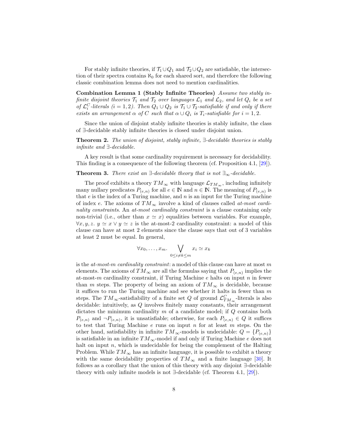For stably infinite theories, if  $\mathcal{T}_1 \cup Q_1$  and  $\mathcal{T}_2 \cup Q_2$  are satisfiable, the intersection of their spectra contains  $\aleph_0$  for each shared sort, and therefore the following classic combination lemma does not need to mention cardinalities.

Combination Lemma 1 (Stably Infinite Theories) Assume two stably infinite disjoint theories  $\mathcal{T}_1$  and  $\mathcal{T}_2$  over languages  $\mathcal{L}_1$  and  $\mathcal{L}_2$ , and let  $Q_i$  be a set of  $\mathcal{L}_i^C$ -literals  $(i = 1, 2)$ . Then  $Q_1 \cup Q_2$  is  $\mathcal{T}_1 \cup \mathcal{T}_2$ -satisfiable if and only if there exists an arrangement  $\alpha$  of C such that  $\alpha \cup Q_i$  is  $T_i$ -satisfiable for  $i = 1, 2$ .

Since the union of disjoint stably infinite theories is stably infinite, the class of ∃-decidable stably infinite theories is closed under disjoint union.

Theorem 2. The union of disjoint, stably infinite, ∃-decidable theories is stably infinite and ∃-decidable.

A key result is that some cardinality requirement is necessary for decidability. This finding is a consequence of the following theorem (cf. Proposition 4.1, [\[29\]](#page-28-7)).

#### **Theorem 3.** There exist an  $\exists$ -decidable theory that is not  $\exists_{\infty}$ -decidable.

The proof exhibits a theory  $TM_{\infty}$  with language  $\mathcal{L}_{TM_{\infty}}$ , including infinitely many nullary predicates  $P_{(e,n)}$  for all  $e \in \mathbb{N}$  and  $n \in \mathbb{N}$ . The meaning of  $P_{(e,n)}$  is that  $e$  is the index of a Turing machine, and  $n$  is an input for the Turing machine of index e. The axioms of  $TM_{\infty}$  involve a kind of clauses called at-most cardinality constraints. An at-most cardinality constraint is a clause containing only non-trivial (i.e., other than  $x \simeq x$ ) equalities between variables. For example,  $\forall x, y, z, y \simeq x \lor y \simeq z$  is the at-most-2 cardinality constraint: a model of this clause can have at most 2 elements since the clause says that out of 3 variables at least 2 must be equal. In general,

$$
\forall x_0, \dots, x_m. \ \bigvee_{0 \le i \ne k \le m} x_i \simeq x_k
$$

is the *at-most-m cardinality constraint*: a model of this clause can have at most  $m$ elements. The axioms of  $TM_{\infty}$  are all the formulas saying that  $P_{(e,n)}$  implies the at-most-m cardinality constraint, if Turing Machine  $e$  halts on input n in fewer than m steps. The property of being an axiom of  $TM_{\infty}$  is decidable, because it suffices to run the Turing machine and see whether it halts in fewer than  $m$ steps. The  $TM_{\infty}$ -satisfiability of a finite set  $Q$  of ground  $\mathcal{L}_{TM_{\infty}}^C$ -literals is also decidable: intuitively, as Q involves finitely many constants, their arrangement dictates the minimum cardinality  $m$  of a candidate model; if  $Q$  contains both  $P_{(e,n)}$  and  $\neg P_{(e,n)}$ , it is unsatisfiable; otherwise, for each  $P_{(e,n)} \in Q$  it suffices to test that Turing Machine  $e$  runs on input  $n$  for at least  $m$  steps. On the other hand, satisfiability in infinite  $TM_{\infty}$ -models is undecidable:  $Q = \{P_{(e,n)}\}$ is satisfiable in an infinite  $TM_{\infty}$ -model if and only if Turing Machine e does not halt on input  $n$ , which is undecidable for being the complement of the Halting Problem. While  $TM_{\infty}$  has an infinite language, it is possible to exhibit a theory with the same decidability properties of  $TM_{\infty}$  and a finite language [\[30\]](#page-28-12). It follows as a corollary that the union of this theory with any disjoint ∃-decidable theory with only infinite models is not  $\exists$ -decidable (cf. Theorem 4.1, [\[29\]](#page-28-7)).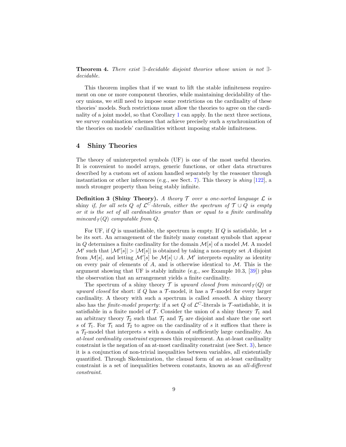**Theorem 4.** There exist  $\exists$ -decidable disjoint theories whose union is not  $\exists$ decidable.

This theorem implies that if we want to lift the stable infiniteness requirement on one or more component theories, while maintaining decidability of theory unions, we still need to impose some restrictions on the cardinality of these theories' models. Such restrictions must allow the theories to agree on the cardinality of a joint model, so that Corollary [1](#page-7-2) can apply. In the next three sections, we survey combination schemes that achieve precisely such a synchronization of the theories on models' cardinalities without imposing stable infiniteness.

### <span id="page-9-0"></span>4 Shiny Theories

The theory of uninterpreted symbols (UF) is one of the most useful theories. It is convenient to model arrays, generic functions, or other data structures described by a custom set of axiom handled separately by the reasoner through instantiation or other inferences (e.g., see Sect. [7\)](#page-17-0). This theory is shiny [\[122\]](#page-33-0), a much stronger property than being stably infinite.

**Definition 3 (Shiny Theory).** A theory  $\mathcal T$  over a one-sorted language  $\mathcal L$  is shiny if, for all sets Q of  $\mathcal{L}^C$ -literals, either the spectrum of  $\mathcal{T} \cup Q$  is empty or it is the set of all cardinalities greater than or equal to a finite cardinality mincard $\tau(Q)$  computable from Q.

For UF, if  $Q$  is unsatisfiable, the spectrum is empty. If  $Q$  is satisfiable, let s be its sort. An arrangement of the finitely many constant symbols that appear in Q determines a finite cardinality for the domain  $\mathcal{M}[s]$  of a model  $\mathcal{M}$ . A model  $\mathcal{M}'$  such that  $|\mathcal{M}'[s]| > |\mathcal{M}[s]|$  is obtained by taking a non-empty set A disjoint from  $\mathcal{M}[s]$ , and letting  $\mathcal{M}'[s]$  be  $\mathcal{M}[s] \cup A$ . M' interprets equality as identity on every pair of elements of  $A$ , and is otherwise identical to  $M$ . This is the argument showing that UF is stably infinite (e.g., see Example 10.3, [\[39\]](#page-28-11)) plus the observation that an arrangement yields a finite cardinality.

The spectrum of a shiny theory T is upward closed from mincard  $\tau(Q)$  or upward closed for short: if  $Q$  has a  $\mathcal{T}$ -model, it has a  $\mathcal{T}$ -model for every larger cardinality. A theory with such a spectrum is called smooth. A shiny theory also has the *finite-model property*: if a set Q of  $\mathcal{L}^C$ -literals is T-satisfiable, it is satisfiable in a finite model of  $\mathcal T$ . Consider the union of a shiny theory  $\mathcal T_1$  and an arbitrary theory  $\mathcal{T}_2$  such that  $\mathcal{T}_1$  and  $\mathcal{T}_2$  are disjoint and share the one sort s of  $\mathcal{T}_1$ . For  $\mathcal{T}_1$  and  $\mathcal{T}_2$  to agree on the cardinality of s it suffices that there is a  $\mathcal{T}_2$ -model that interprets s with a domain of sufficiently large cardinality. An at-least cardinality constraint expresses this requirement. An at-least cardinality constraint is the negation of an at-most cardinality constraint (see Sect. [3\)](#page-6-0), hence it is a conjunction of non-trivial inequalities between variables, all existentially quantified. Through Skolemization, the clausal form of an at-least cardinality constraint is a set of inequalities between constants, known as an *all-different* constraint.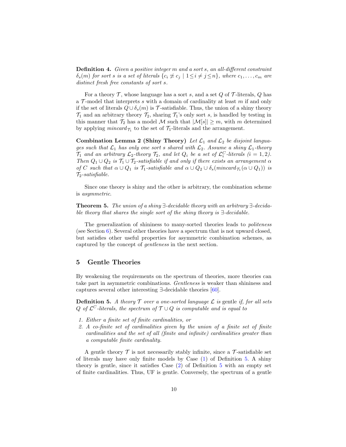Definition 4. Given a positive integer m and a sort s, an all-different constraint  $\delta_s(m)$  for sort s is a set of literals  $\{c_i \not\cong c_j \mid 1 \leq i \not= j \leq n\}$ , where  $c_1, \ldots, c_m$  are distinct fresh free constants of sort s.

For a theory  $\mathcal T$ , whose language has a sort s, and a set Q of  $\mathcal T$ -literals, Q has a  $\mathcal T$ -model that interprets s with a domain of cardinality at least m if and only if the set of literals  $Q \cup \delta_s(m)$  is  $\mathcal T$ -satisfiable. Thus, the union of a shiny theory  $\mathcal{T}_1$  and an arbitrary theory  $\mathcal{T}_2$ , sharing  $\mathcal{T}_1$ 's only sort s, is handled by testing in this manner that  $\mathcal{T}_2$  has a model M such that  $|\mathcal{M}[s]| \geq m$ , with m determined by applying  $mincard_{\mathcal{T}_1}$  to the set of  $\mathcal{T}_1$ -literals and the arrangement.

<span id="page-10-3"></span>Combination Lemma 2 (Shiny Theory) Let  $\mathcal{L}_1$  and  $\mathcal{L}_2$  be disjoint languages such that  $\mathcal{L}_1$  has only one sort s shared with  $\mathcal{L}_2$ . Assume a shiny  $\mathcal{L}_1$ -theory  $\mathcal{T}_1$  and an arbitrary  $\mathcal{L}_2$ -theory  $\mathcal{T}_2$ , and let  $Q_i$  be a set of  $\mathcal{L}_i^C$ -literals  $(i = 1, 2)$ . Then  $Q_1 \cup Q_2$  is  $\mathcal{T}_1 \cup \mathcal{T}_2$ -satisfiable if and only if there exists an arrangement  $\alpha$ of C such that  $\alpha \cup Q_1$  is  $\mathcal{T}_1$ -satisfiable and  $\alpha \cup Q_2 \cup \delta_s$  (mincard  $\tau_1(\alpha \cup Q_1)$ ) is  $\mathcal{T}_2$ -satisfiable.

Since one theory is shiny and the other is arbitrary, the combination scheme is asymmetric.

Theorem 5. The union of a shiny ∃-decidable theory with an arbitrary ∃-decidable theory that shares the single sort of the shiny theory is ∃-decidable.

The generalization of shininess to many-sorted theories leads to politeness (see Section  $6$ ). Several other theories have a spectrum that is not upward closed, but satisfies other useful properties for asymmetric combination schemes, as captured by the concept of gentleness in the next section.

#### 5 Gentle Theories

By weakening the requirements on the spectrum of theories, more theories can take part in asymmetric combinations. Gentleness is weaker than shininess and captures several other interesting ∃-decidable theories [\[60\]](#page-29-9).

<span id="page-10-1"></span>**Definition 5.** A theory  $\mathcal T$  over a one-sorted language  $\mathcal L$  is gentle if, for all sets Q of  $\mathcal{L}^C$ -literals, the spectrum of  $\mathcal{T} \cup Q$  is computable and is equal to

- <span id="page-10-0"></span>1. Either a finite set of finite cardinalities, or
- <span id="page-10-2"></span>2. A co-finite set of cardinalities given by the union of a finite set of finite cardinalities and the set of all (finite and infinite) cardinalities greater than a computable finite cardinality.

A gentle theory  $\mathcal T$  is not necessarily stably infinite, since a  $\mathcal T$ -satisfiable set of literals may have only finite models by Case [\(1\)](#page-10-0) of Definition [5.](#page-10-1) A shiny theory is gentle, since it satisfies Case [\(2\)](#page-10-2) of Definition [5](#page-10-1) with an empty set of finite cardinalities. Thus, UF is gentle. Conversely, the spectrum of a gentle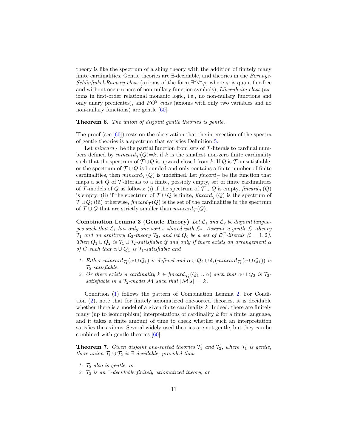theory is like the spectrum of a shiny theory with the addition of finitely many finite cardinalities. Gentle theories are ∃-decidable, and theories in the Bernays-Schönfinkel-Ramsey class (axioms of the form  $\exists^*\forall^*\varphi$ , where  $\varphi$  is quantifier-free and without occurrences of non-nullary function symbols),  $L\ddot{o}wenheim \ class$  (axioms in first-order relational monadic logic, i.e., no non-nullary functions and only unary predicates), and  $FO^2$  class (axioms with only two variables and no non-nullary functions) are gentle [\[60\]](#page-29-9).

#### Theorem 6. The union of disjoint gentle theories is gentle.

The proof (see  $[60]$ ) rests on the observation that the intersection of the spectra of gentle theories is a spectrum that satisfies Definition [5.](#page-10-1)

Let  $mincard_{\mathcal{T}}$  be the partial function from sets of  $\mathcal{T}$ -literals to cardinal numbers defined by mincard  $\tau(Q)=k$ , if k is the smallest non-zero finite cardinality such that the spectrum of  $\mathcal{T} \cup Q$  is upward closed from k. If Q is  $\mathcal{T}$ -unsatisfiable, or the spectrum of  $\mathcal{T} \cup Q$  is bounded and only contains a finite number of finite cardinalities, then  $mincard_{\mathcal{T}}(Q)$  is undefined. Let  $fincard_{\mathcal{T}}$  be the function that maps a set  $Q$  of  $\mathcal T$ -literals to a finite, possibly empty, set of finite cardinalities of  $\mathcal T$ -models of  $Q$  as follows: (i) if the spectrum of  $\mathcal T\cup Q$  is empty,  $\mathit{fincard}_{\mathcal T}(Q)$ is empty; (ii) if the spectrum of  $\mathcal{T} \cup Q$  is finite,  $\text{f}n\text{card}_{\mathcal{T}}(Q)$  is the spectrum of  $\mathcal{T} \cup Q$ ; (iii) otherwise, fincard  $\tau(Q)$  is the set of the cardinalities in the spectrum of  $\mathcal{T} \cup Q$  that are strictly smaller than  $mincard_{\mathcal{T}}(Q)$ .

<span id="page-11-3"></span>Combination Lemma 3 (Gentle Theory) Let  $\mathcal{L}_1$  and  $\mathcal{L}_2$  be disjoint languages such that  $\mathcal{L}_1$  has only one sort s shared with  $\mathcal{L}_2$ . Assume a gentle  $\mathcal{L}_1$ -theory  $\mathcal{T}_1$  and an arbitrary  $\mathcal{L}_2$ -theory  $\mathcal{T}_2$ , and let  $Q_i$  be a set of  $\mathcal{L}_i^C$ -literals  $(i = 1, 2)$ . Then  $Q_1 \cup Q_2$  is  $\mathcal{T}_1 \cup \mathcal{T}_2$ -satisfiable if and only if there exists an arrangement  $\alpha$ of C such that  $\alpha \cup Q_1$  is  $\mathcal{T}_1$ -satisfiable and

- <span id="page-11-0"></span>1. Either mincard  $\tau_1(\alpha \cup Q_1)$  is defined and  $\alpha \cup Q_2 \cup \delta_s$  (mincard  $\tau_1(\alpha \cup Q_1)$ ) is  $\mathcal{T}_2$ -satisfiable,
- <span id="page-11-1"></span>2. Or there exists a cardinality  $k \in \text{fincard}_{\mathcal{T}_1}(Q_1 \cup \alpha)$  such that  $\alpha \cup Q_2$  is  $\mathcal{T}_2$ satisfiable in a  $\mathcal{T}_2$ -model M such that  $|\mathcal{M}[s]| = k$ .

Condition [\(1\)](#page-11-0) follows the pattern of Combination Lemma [2.](#page-10-3) For Condition [\(2\)](#page-11-1), note that for finitely axiomatized one-sorted theories, it is decidable whether there is a model of a given finite cardinality  $k$ . Indeed, there are finitely many (up to isomorphism) interpretations of cardinality  $k$  for a finite language, and it takes a finite amount of time to check whether such an interpretation satisfies the axioms. Several widely used theories are not gentle, but they can be combined with gentle theories [\[60\]](#page-29-9).

<span id="page-11-2"></span>**Theorem 7.** Given disjoint one-sorted theories  $\mathcal{T}_1$  and  $\mathcal{T}_2$ , where  $\mathcal{T}_1$  is gentle, their union  $\mathcal{T}_1 \cup \mathcal{T}_2$  is  $\exists$ -decidable, provided that:

- 1.  $\mathcal{T}_2$  also is gentle, or
- <span id="page-11-4"></span>2.  $\mathcal{T}_2$  is an  $\exists$ -decidable finitely axiomatized theory, or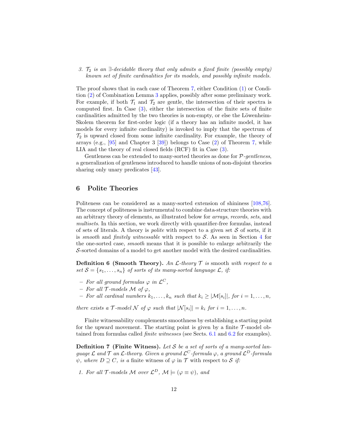### <span id="page-12-1"></span>3.  $\mathcal{T}_2$  is an  $\exists$ -decidable theory that only admits a fixed finite (possibly empty) known set of finite cardinalities for its models, and possibly infinite models.

The proof shows that in each case of Theorem [7,](#page-11-2) either Condition [\(1\)](#page-11-0) or Condition [\(2\)](#page-11-1) of Combination Lemma [3](#page-11-3) applies, possibly after some preliminary work. For example, if both  $\mathcal{T}_1$  and  $\mathcal{T}_2$  are gentle, the intersection of their spectra is computed first. In Case [\(3\)](#page-12-1), either the intersection of the finite sets of finite cardinalities admitted by the two theories is non-empty, or else the Löwenheim-Skolem theorem for first-order logic (if a theory has an infinite model, it has models for every infinite cardinality) is invoked to imply that the spectrum of  $\mathcal{T}_2$  is upward closed from some infinite cardinality. For example, the theory of arrays (e.g.,  $[95]$  and Chapter 3  $[39]$ ) belongs to Case  $(2)$  of Theorem [7,](#page-11-2) while LIA and the theory of real closed fields (RCF) fit in Case [\(3\)](#page-12-1).

Gentleness can be extended to many-sorted theories as done for  $\mathcal{P}\text{-}gentleness$ , a generalization of gentleness introduced to handle unions of non-disjoint theories sharing only unary predicates [\[43\]](#page-28-13).

#### <span id="page-12-0"></span>6 Polite Theories

Politeness can be considered as a many-sorted extension of shininess [\[108,](#page-32-8)[76\]](#page-30-4). The concept of politeness is instrumental to combine data-structure theories with an arbitrary theory of elements, as illustrated below for arrays, records, sets, and multisets. In this section, we work directly with quantifier-free formulas, instead of sets of literals. A theory is *polite* with respect to a given set  $S$  of sorts, if it is smooth and finitely witnessable with respect to  $S$ . As seen in Section [4](#page-9-0) for the one-sorted case, smooth means that it is possible to enlarge arbitrarily the S-sorted domains of a model to get another model with the desired cardinalities.

**Definition 6 (Smooth Theory).** An  $\mathcal{L}$ -theory  $\mathcal{T}$  is smooth with respect to a set  $S = \{s_1, \ldots, s_n\}$  of sorts of its many-sorted language  $\mathcal{L}$ , if:

- $-$  For all ground formulas  $\varphi$  in  $\mathcal{L}^C$ ,
- For all  $\mathcal T$ -models  $\mathcal M$  of  $\varphi$ ,
- $-$  For all cardinal numbers  $k_1, \ldots, k_n$  such that  $k_i \geq |\mathcal{M}[s_i]|$ , for  $i = 1, \ldots, n$ ,

there exists a  $\mathcal{T}\text{-model }\mathcal{N}$  of  $\varphi$  such that  $|\mathcal{N}[s_i]| = k_i$  for  $i = 1, \ldots, n$ .

Finite witnessability complements smoothness by establishing a starting point for the upward movement. The starting point is given by a finite  $\mathcal{T}$ -model obtained from formulas called finite witnesses (see Sects. [6.1](#page-14-0) and [6.2](#page-16-0) for examples).

<span id="page-12-2"></span>**Definition 7** (Finite Witness). Let S be a set of sorts of a many-sorted language  ${\cal L}$  and  ${\cal T}$  an  ${\cal L}$ -theory. Given a ground  ${\cal L}^C$ -formula  $\varphi,$  a ground  ${\cal L}^D$ -formula  $\psi$ , where  $D \supseteq C$ , is a finite witness of  $\varphi$  in  $\mathcal T$  with respect to  $\mathcal S$  if:

1. For all T-models M over  $\mathcal{L}^D$ ,  $\mathcal{M} \models (\varphi \equiv \psi)$ , and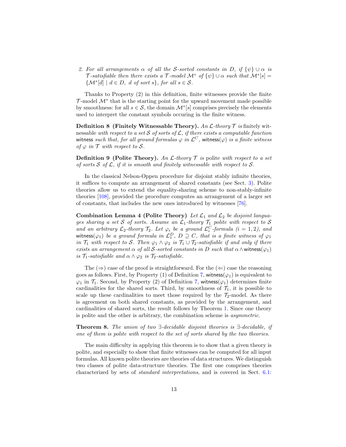2. For all arrangements  $\alpha$  of all the S-sorted constants in D, if  $\{\psi\} \cup \alpha$  is T-satisfiable then there exists a T-model  $\mathcal{M}^*$  of  $\{\psi\} \cup \alpha$  such that  $\mathcal{M}^*[s] =$  $\{\mathcal{M}^*[d] \mid d \in D, d \text{ of sort } s\}, \text{ for all } s \in \mathcal{S}.$ 

Thanks to Property (2) in this definition, finite witnesses provide the finite  $\mathcal{T}$ -model  $\mathcal{M}^*$  that is the starting point for the upward movement made possible by smoothness: for all  $s \in \mathcal{S}$ , the domain  $\mathcal{M}^*[s]$  comprises precisely the elements used to interpret the constant symbols occuring in the finite witness.

**Definition 8 (Finitely Witnessable Theory).** An  $\mathcal{L}$ -theory  $\mathcal{T}$  is finitely witnessable with respect to a set S of sorts of  $\mathcal{L}$ , if there exists a computable function witness  $such~that,$   $for~all~ground~formulas~\varphi ~in~\mathcal{L}^C,$  witness $(\varphi)$   $is~a~finite~witness$ of  $\varphi$  in  $\mathcal T$  with respect to  $\mathcal S$ .

**Definition 9 (Polite Theory).** An  $\mathcal{L}$ -theory  $\mathcal{T}$  is polite with respect to a set of sorts  $S$  of  $\mathcal{L}$ , if it is smooth and finitely witnessable with respect to  $S$ .

In the classical Nelson-Oppen procedure for disjoint stably infinite theories, it suffices to compute an arrangement of shared constants (see Sect. [3\)](#page-6-0). Polite theories allow us to extend the equality-sharing scheme to non-stably-infinite theories [\[108\]](#page-32-8), provided the procedure computes an arrangement of a larger set of constants, that includes the new ones introduced by witnesses [\[76\]](#page-30-4).

Combination Lemma 4 (Polite Theory) Let  $\mathcal{L}_1$  and  $\mathcal{L}_2$  be disjoint languages sharing a set S of sorts. Assume an  $\mathcal{L}_1$ -theory  $\mathcal{T}_1$  polite with respect to S and an arbitrary  $\mathcal{L}_2$ -theory  $\mathcal{T}_2$ . Let  $\varphi_i$  be a ground  $\mathcal{L}_i^C$ -formula  $(i = 1, 2)$ , and witness $(\varphi_1)$  be a ground formula in  $\mathcal{L}^D_1$ ,  $D\supseteq C,$  that is a finite witness of  $\varphi_1$ in  $\mathcal{T}_1$  with respect to S. Then  $\varphi_1 \wedge \varphi_2$  is  $\mathcal{T}_1 \cup \mathcal{T}_2$ -satisfiable if and only if there exists an arrangement  $\alpha$  of all S-sorted constants in D such that  $\alpha \wedge$  witness( $\varphi_1$ ) is  $\mathcal{T}_1$ -satisfiable and  $\alpha \wedge \varphi_2$  is  $\mathcal{T}_2$ -satisfiable.

The  $(\Rightarrow)$  case of the proof is straightforward. For the  $(\Leftarrow)$  case the reasoning goes as follows. First, by Property (1) of Definition [7,](#page-12-2) witness( $\varphi_1$ ) is equivalent to  $\varphi_1$  in  $\mathcal{T}_1$ . Second, by Property (2) of Definition [7,](#page-12-2) witness( $\varphi_1$ ) determines finite cardinalities for the shared sorts. Third, by smoothness of  $\mathcal{T}_1$ , it is possible to scale up these cardinalities to meet those required by the  $\mathcal{T}_2$ -model. As there is agreement on both shared constants, as provided by the arrangement, and cardinalities of shared sorts, the result follows by Theorem [1.](#page-7-0) Since one theory is polite and the other is arbitrary, the combination scheme is asymmetric.

**Theorem 8.** The union of two  $\exists$ -decidable disjoint theories is  $\exists$ -decidable, if one of them is polite with respect to the set of sorts shared by the two theories.

The main difficulty in applying this theorem is to show that a given theory is polite, and especially to show that finite witnesses can be computed for all input formulas. All known polite theories are theories of data structures. We distinguish two classes of polite data-structure theories. The first one comprises theories characterized by sets of standard interpretations, and is covered in Sect. [6.1:](#page-14-0)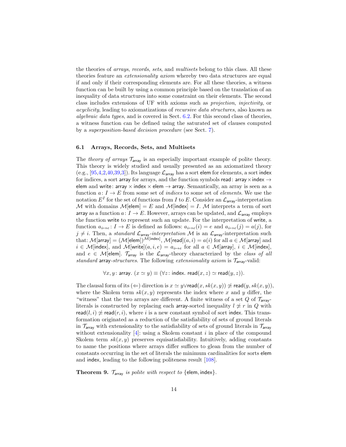the theories of arrays, records, sets, and multisets belong to this class. All these theories feature an *extensionality axiom* whereby two data structures are equal if and only if their corresponding elements are. For all these theories, a witness function can be built by using a common principle based on the translation of an inequality of data structures into some constraint on their elements. The second class includes extensions of UF with axioms such as projection, injectivity, or acyclicity, leading to axiomatizations of recursive data structures, also known as algebraic data types, and is covered in Sect. [6.2.](#page-16-0) For this second class of theories, a witness function can be defined using the saturated set of clauses computed by a superposition-based decision procedure (see Sect. [7\)](#page-17-0).

#### <span id="page-14-0"></span>6.1 Arrays, Records, Sets, and Multisets

The theory of arrays  $\mathcal{T}_{array}$  is an especially important example of polite theory. This theory is widely studied and usually presented as an axiomatized theory (e.g.,  $[95,4,2,40,39,3]$  $[95,4,2,40,39,3]$  $[95,4,2,40,39,3]$  $[95,4,2,40,39,3]$  $[95,4,2,40,39,3]$  $[95,4,2,40,39,3]$ ). Its language  $\mathcal{L}_{array}$  has a sort elem for elements, a sort index for indices, a sort array for arrays, and the function symbols read: array  $\times$  index  $\rightarrow$ elem and write: array  $\times$  index  $\times$  elem  $\rightarrow$  array. Semantically, an array is seen as a function  $a: I \to E$  from some set of *indices* to some set of *elements*. We use the notation  $E^I$  for the set of functions from I to E. Consider an  $\mathcal{L}_{array}$ -interpretation M with domains  $M[\text{elem}] = E$  and  $M[\text{index}] = I$ . M interprets a term of sort array as a function  $a: I \to E$ . However, arrays can be updated, and  $\mathcal{L}_{array}$  employs the function write to represent such an update. For the interpretation of write, a function  $a_{i\mapsto e} : I \to E$  is defined as follows:  $a_{i\mapsto e}(i) = e$  and  $a_{i\mapsto e}(j) = a(j)$ , for  $j \neq i$ . Then, a standard  $\mathcal{L}_{array}$ -interpretation M is an  $\mathcal{L}_{array}$ -interpretation such that:  $\mathcal{M}[array] = (\mathcal{M}[elem])^{\mathcal{M}[index]}, \, \mathcal{M}[read](a,i) = a(i) \text{ for all } a \in \mathcal{M}[array] \text{ and}$  $i \in \mathcal{M}$ [index], and  $\mathcal{M}$ [write] $(a, i, e) = a_{i\mapsto e}$  for all  $a \in \mathcal{M}$ [array],  $i \in \mathcal{M}$ [index], and  $e \in \mathcal{M}$ [elem].  $\mathcal{T}_{array}$  is the  $\mathcal{L}_{array}$ -theory characterized by the *class of all* standard array-structures. The following extensionality axiom is  $\mathcal{T}_{array}$ -valid:

 $\forall x, y$ : array.  $(x \simeq y) \equiv (\forall z$ : index. read $(x, z) \simeq$  read $(y, z)$ ).

The clausal form of its  $(\Leftarrow)$  direction is  $x \simeq y \lor \text{read}(x, sk(x, y)) \ncong \text{read}(y, sk(x, y)),$ where the Skolem term  $sk(x, y)$  represents the index where x and y differ, the "witness" that the two arrays are different. A finite witness of a set  $Q$  of  $\mathcal{T}_{\text{array}}$ literals is constructed by replacing each array-sorted inequality  $l \not\approx r$  in Q with read(l, i)  $\not\cong$  read(r, i), where i is a new constant symbol of sort index. This transformation originated as a reduction of the satisfiability of sets of ground literals in  $\mathcal{T}_{\text{array}}$  with extensionality to the satisfiability of sets of ground literals in  $\mathcal{T}_{\text{array}}$ without extensionality  $[4]$ : using a Skolem constant i in place of the compound Skolem term  $sk(x, y)$  preserves equisatisfiability. Intuitively, adding constants to name the positions where arrays differ suffices to glean from the number of constants occurring in the set of literals the minimum cardinalities for sorts elem and index, leading to the following politeness result [\[108\]](#page-32-8).

<span id="page-14-1"></span>**Theorem 9.**  $\mathcal{T}_{array}$  is polite with respect to {elem, index}.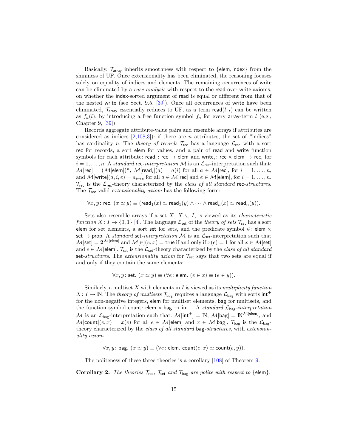Basically,  $\mathcal{T}_{array}$  inherits smoothness with respect to {elem, index} from the shininess of UF. Once extensionality has been eliminated, the reasoning focuses solely on equality of indices and elements. The remaining occurrences of write can be eliminated by a case analysis with respect to the read-over-write axioms, on whether the index-sorted argument of read is equal or different from that of the nested write (see Sect. 9.5, [\[39\]](#page-28-11)). Once all occurrences of write have been eliminated,  $\mathcal{T}_{array}$  essentially reduces to UF, as a term read(*l*, *i*) can be written as  $f_a(l)$ , by introducing a free function symbol  $f_a$  for every array-term l (e.g., Chapter 9, [\[39\]](#page-28-11)).

Records aggregate attribute-value pairs and resemble arrays if attributes are considered as indices  $[2,108,3]$  $[2,108,3]$  $[2,108,3]$ : if there are *n* attributes, the set of "indices" has cardinality n. The theory of records  $\mathcal{T}_{\text{rec}}$  has a language  $\mathcal{L}_{\text{rec}}$  with a sort rec for records, a sort elem for values, and a pair of read and write function symbols for each attribute:  $\mathsf{read}_i \colon \mathsf{rec} \to \mathsf{elem}$  and  $\mathsf{write}_i \colon \mathsf{rec} \times \mathsf{elem} \to \mathsf{rec},$  for  $i = 1, \ldots, n$ . A standard rec-interpretation M is an  $\mathcal{L}_{\text{rec}}$ -interpretation such that:  $\mathcal{M}[\mathsf{rec}] = (\mathcal{M}[\mathsf{elem}])^n, \, \mathcal{M}[\mathsf{read}_i](a) = a(i) \text{ for all } a \in \mathcal{M}[\mathsf{rec}], \text{ for } i = 1, \ldots, n,$ and  $\mathcal{M}[\text{write}](a, i, e) = a_{i \mapsto e}$  for all  $a \in \mathcal{M}[\text{rec}]$  and  $e \in \mathcal{M}[\text{elem}]$ , for  $i = 1, ..., n$ .  $\mathcal{T}_{\text{rec}}$  is the  $\mathcal{L}_{\text{rec}}$ -theory characterized by the class of all standard rec-structures. The  $\mathcal{T}_{\text{rec}}$ -valid *extensionality axiom* has the following form:

 $\forall x, y$ : rec.  $(x \simeq y) \equiv (read_1(x) \simeq read_1(y) \wedge \cdots \wedge read_n(x) \simeq read_n(y)).$ 

Sets also resemble arrays if a set X,  $X \subseteq I$ , is viewed as its *characteristic* function  $X: I \to \{0,1\}$  [\[4\]](#page-26-4). The language  $\mathcal{L}_{set}$  of the theory of sets  $\mathcal{T}_{set}$  has a sort elem for set elements, a sort set for sets, and the predicate symbol ∈: elem × set  $\rightarrow$  prop. A standard set-interpretation M is an  $\mathcal{L}_{set}$ -interpretation such that  ${\cal M}[\mathsf{set}] = \mathbf 2^{{\cal M}[\mathsf{elem}]} \text{ and } {\cal M}[\in](e,x) = \mathsf{true} \text{ if and only if } x(e) = 1 \text{ for all } x \in {\cal M}[\mathsf{set}]$ and  $e \in \mathcal{M}$ [elem].  $\mathcal{T}_{set}$  is the  $\mathcal{L}_{set}$ -theory characterized by the *class of all standard* set-structures. The extensionality axiom for  $\mathcal{T}_{\text{set}}$  says that two sets are equal if and only if they contain the same elements:

$$
\forall x, y \colon \text{set. } (x \simeq y) \equiv (\forall e \colon \text{elem. } (e \in x) \equiv (e \in y)).
$$

Similarly, a multiset  $X$  with elements in  $I$  is viewed as its *multiplicity function*  $X: I \to \mathbb{N}$ . The theory of multisets  $\mathcal{T}_{\text{bag}}$  requires a language  $\mathcal{L}_{\text{bag}}$  with sorts int<sup>+</sup> for the non-negative integers, elem for multiset elements, bag for multisets, and the function symbol count: elem  $\times$  bag  $\rightarrow$  int<sup>+</sup>. A *standard*  $\mathcal{L}_{\text{bag}}$ *-interpretation* M is an  $\mathcal{L}_{\text{bag}}$ -interpretation such that:  $\mathcal{M}[\text{int}^+] = \mathbb{N}; \mathcal{M}[\text{bag}] = \mathbb{N}^{\mathcal{M}[\text{elem}]};$  and  $\mathcal{M}[\text{count}](e, x) = x(e)$  for all  $e \in \mathcal{M}[\text{elem}]$  and  $x \in \mathcal{M}[\text{bag}]$ .  $\mathcal{T}_{\text{bag}}$  is the  $\mathcal{L}_{\text{bag}}$ theory characterized by the class of all standard bag-structures, with extensionality axiom

$$
\forall x, y: \text{bag. } (x \simeq y) \equiv (\forall e: \text{elem. count}(e, x) \simeq \text{count}(e, y)).
$$

The politeness of these three theories is a corollary [\[108\]](#page-32-8) of Theorem [9.](#page-14-1)

Corollary 2. The theories  $\mathcal{T}_{\text{rec}}$ ,  $\mathcal{T}_{\text{set}}$  and  $\mathcal{T}_{\text{bag}}$  are polite with respect to {elem}.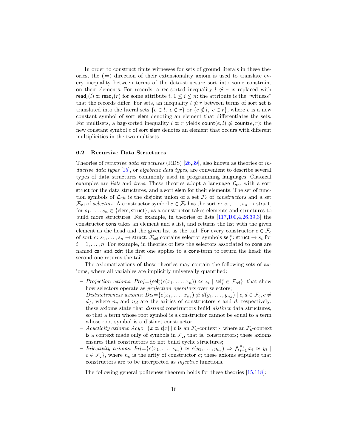In order to construct finite witnesses for sets of ground literals in these theories, the  $(\Leftarrow)$  direction of their extensionality axiom is used to translate every inequality between terms of the data-structure sort into some constraint on their elements. For records, a rec-sorted inequality  $l \not\cong r$  is replaced with read<sub>i</sub>(l)  $\not\cong$  read<sub>i</sub>(r) for some attribute i,  $1 \leq i \leq n$ : the attribute is the "witness" that the records differ. For sets, an inequality  $l \not\approx r$  between terms of sort set is translated into the literal sets  $\{e \in l, e \notin r\}$  or  $\{e \notin l, e \in r\}$ , where e is a new constant symbol of sort elem denoting an element that differentiates the sets. For multisets, a bag-sorted inequality  $l \neq r$  yields count $(e, l) \neq$  count $(e, r)$ : the new constant symbol e of sort elem denotes an element that occurs with different multiplicities in the two multisets.

#### <span id="page-16-0"></span>6.2 Recursive Data Structures

Theories of recursive data structures (RDS) [\[26,](#page-27-10)[39\]](#page-28-11), also known as theories of in-ductive data types [\[15\]](#page-27-11), or algebraic data types, are convenient to describe several types of data structures commonly used in programming languages. Classical examples are *lists* and *trees*. These theories adopt a language  $\mathcal{L}_{\text{rds}}$  with a sort struct for the data structures, and a sort elem for their elements. The set of function symbols of  $\mathcal{L}_{\text{rds}}$  is the disjoint union of a set  $\mathcal{F}_{\text{c}}$  of *constructors* and a set  $\mathcal{F}_{sel}$  of selectors. A constructor symbol  $c \in \mathcal{F}_{c}$  has the sort  $c: s_1, \ldots, s_n \to$  struct, for  $s_1, \ldots, s_n \in \{\text{elem}, \text{struct}\},\$  as a constructor takes elements and structures to build more structures. For example, in theories of lists [\[117,](#page-32-10)[100,](#page-31-10)[4,](#page-26-4)[26,](#page-27-10)[39,](#page-28-11)[3\]](#page-26-6) the constructor cons takes an element and a list, and returns the list with the given element as the head and the given list as the tail. For every constructor  $c \in \mathcal{F}_c$ of sort  $c: s_1, \ldots, s_n \to \text{struct}, \mathcal{F}_{\text{sel}}$  contains selector symbols  $\text{sel}_i^c: \text{struct} \to s_i$  for  $i = 1, \ldots, n$ . For example, in theories of lists the selectors associated to cons are named car and cdr: the first one applies to a cons-term to return the head; the second one returns the tail.

The axiomatizations of these theories may contain the following sets of axioms, where all variables are implicitly universally quantified:

- Projection axioms:  $Proj = \{ \text{sel}_i^c(c(x_1, \ldots, x_n)) \simeq x_i \mid \text{sel}_i^c \in \mathcal{F}_{\text{sel}} \},\$  that show how selectors operate as *projection operators* over selectors;
- Distinctiveness axioms: Dis={ $c(x_1,...,x_{n_c}) \not\cong d(y_1,...,y_{n_d}) \mid c, d \in \mathcal{F}_c, c \neq 0$  $d$ , where  $n_c$  and  $n_d$  are the arities of constructors c and d, respectively: these axioms state that *distinct* constructors build *distinct* data structures, so that a term whose root symbol is a constructor cannot be equal to a term whose root symbol is a distinct constructor;
- Acyclicity axioms:  $A cyc = \{x \neq t[x] \mid t \text{ is an } \mathcal{F}_{\text{c}}\text{-context}\}\,$ , where an  $\mathcal{F}_{\text{c}}\text{-context}$ is a context made only of symbols in  $\mathcal{F}_{c}$ , that is, constructors; these axioms ensures that constructors do not build cyclic structures;
- Injectivity axioms:  $Inj = \{c(x_1, \ldots, x_{n_c}) \simeq c(y_1, \ldots, y_{n_c}) \Rightarrow \bigwedge_{i=1}^{n_c} x_i \simeq y_i \mid$  $c \in \mathcal{F}_{c}$ , where  $n_c$  is the arity of constructor c; these axioms stipulate that constructors are to be interpreted as injective functions.

<span id="page-16-1"></span>The following general politeness theorem holds for these theories [\[15,](#page-27-11)[118\]](#page-32-11):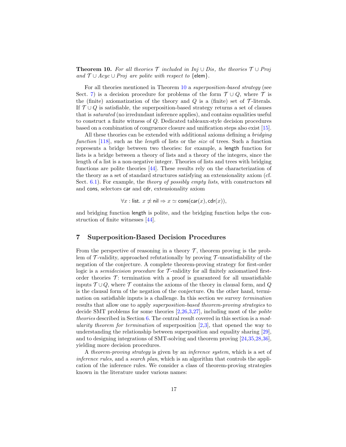**Theorem 10.** For all theories  $\mathcal{T}$  included in Inj  $\cup$  Dis, the theories  $\mathcal{T} \cup Proj$ and  $\mathcal{T} \cup \text{Acyc} \cup \text{Proj}$  are polite with respect to {elem}.

For all theories mentioned in Theorem [10](#page-16-1) a superposition-based strategy (see Sect. [7\)](#page-17-0) is a decision procedure for problems of the form  $\mathcal{T} \cup Q$ , where  $\mathcal{T}$  is the (finite) axiomatization of the theory and  $Q$  is a (finite) set of  $\mathcal{T}\text{-literals.}$ If  $\mathcal{T} \cup Q$  is satisfiable, the superposition-based strategy returns a set of clauses that is saturated (no irredundant inference applies), and contains equalities useful to construct a finite witness of Q. Dedicated tableaux-style decision procedures based on a combination of congruence closure and unification steps also exist [\[15\]](#page-27-11).

All these theories can be extended with additional axioms defining a bridging function [\[118\]](#page-32-11), such as the *length* of lists or the *size* of trees. Such a function represents a bridge between two theories: for example, a length function for lists is a bridge between a theory of lists and a theory of the integers, since the length of a list is a non-negative integer. Theories of lists and trees with bridging functions are polite theories [\[44\]](#page-29-11). These results rely on the characterization of the theory as a set of standard structures satisfying an extensionality axiom (cf. Sect. [6.1\)](#page-14-0). For example, the *theory of possibly empty lists*, with constructors nil and cons, selectors car and cdr, extensionality axiom

$$
\forall x : \text{list. } x \not\simeq \text{nil} \Rightarrow x \simeq \text{cons}(\text{car}(x), \text{cdr}(x)),
$$

and bridging function length is polite, and the bridging function helps the construction of finite witnesses [\[44\]](#page-29-11).

#### <span id="page-17-0"></span>7 Superposition-Based Decision Procedures

From the perspective of reasoning in a theory  $\mathcal T$ , theorem proving is the problem of  $\mathcal T$ -validity, approached refutationally by proving  $\mathcal T$ -unsatisfiability of the negation of the conjecture. A complete theorem-proving strategy for first-order logic is a *semidecision procedure* for  $\mathcal{T}$ -validity for all finitely axiomatized firstorder theories  $\mathcal{T}$ : termination with a proof is guaranteed for all unsatisfiable inputs  $\mathcal{T} \cup Q$ , where  $\mathcal{T}$  contains the axioms of the theory in clausal form, and Q is the clausal form of the negation of the conjecture. On the other hand, termination on satisfiable inputs is a challenge. In this section we survey termination results that allow one to apply superposition-based theorem-proving strategies to decide SMT problems for some theories  $[2,26,3,27]$  $[2,26,3,27]$  $[2,26,3,27]$  $[2,26,3,27]$ , including most of the *polite* theories described in Section [6.](#page-12-0) The central result covered in this section is a modularity theorem for termination of superposition  $[2,3]$  $[2,3]$ , that opened the way to understanding the relationship between superposition and equality sharing [\[29\]](#page-28-7), and to designing integrations of SMT-solving and theorem proving [\[24,](#page-27-12)[35,](#page-28-16)[28,](#page-28-3)[36\]](#page-28-4), yielding more decision procedures.

A theorem-proving strategy is given by an inference system, which is a set of inference rules, and a search plan, which is an algorithm that controls the application of the inference rules. We consider a class of theorem-proving strategies known in the literature under various names: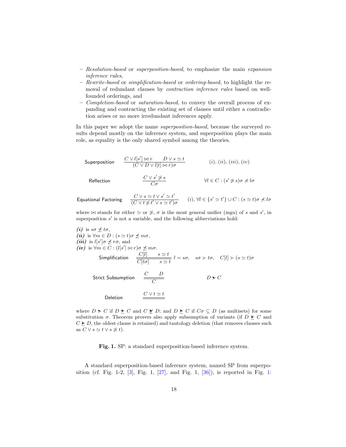- Resolution-based or superposition-based, to emphasize the main expansion inference rules,
- Rewrite-based or simplification-based or ordering-based, to highlight the removal of redundant clauses by contraction inference rules based on wellfounded orderings, and
- Completion-based or saturation-based, to convey the overall process of expanding and contracting the existing set of clauses until either a contradiction arises or no more irredundant inferences apply.

In this paper we adopt the name *superposition-based*, because the surveyed results depend mostly on the inference system, and superposition plays the main role, as equality is the only shared symbol among the theories.

| Superposition | $C \vee l[s'] \bowtie r$ | $D \vee s \simeq t$                                     | (i), (ii), (iii), (iv) |
|---------------|--------------------------|---------------------------------------------------------|------------------------|
| Reflection    | $C \vee s' \ncong s$     | $\forall l \in C : (s' \ncong s) \sigma \ncong l\sigma$ |                        |

Equational Factoring  $\frac{C \vee s \simeq t \vee s' \simeq t'}{(\overline{C}) \vee t \cdot s' \vee t' \cdot \dots \cdot t'}$  $\frac{C \vee s \preceq t \vee s \preceq t}{(C \vee t \ncong t' \vee s \simeq t')\sigma}$   $(i), \forall l \in \{s' \simeq t'\} \cup C : (s \simeq t)\sigma \nless l\sigma$ 

where  $\bowtie$  stands for either  $\cong$  or  $\neq$ ,  $\sigma$  is the most general unifier (mgu) of s and s', in superposition  $s'$  is not a variable, and the following abbreviations hold:

(i) is 
$$
s\sigma \nleq t\sigma
$$
,  
\n(ii) is  $\forall m \in D : (s \simeq t)\sigma \nleq m\sigma$ ,  
\n(iii) is  $l[s'|\sigma \nleq r\sigma$ , and  
\n(iv) is  $\forall m \in C : (l[s'] \bowtie r)\sigma \nleq m\sigma$ .  
\nSimplification  $\frac{C[l]}{C[t\sigma]} \quad s \simeq t \quad l = s\sigma$ ,  $s\sigma \succ t\sigma$ ,  $C[l] \succ (s \simeq t)\sigma$   
\nStrict Subsumption  $\frac{C}{C}$   
\nD> C  
\nDeletion  $\frac{C \vee t \simeq t}{}$ 

where  $D > C$  if  $D \ge C$  and  $C \not\ge D$ ; and  $D \ge C$  if  $C\sigma \subseteq D$  (as multisets) for some substitution  $\sigma$ . Theorem provers also apply subsumption of variants (if  $D \geq C$  and  $C \geq D$ , the oldest clause is retained) and tautology deletion (that removes clauses such as  $C \vee s \simeq t \vee s \ncong t$ .

<span id="page-18-0"></span>Fig. 1. SP: a standard superposition-based inference system.

A standard superposition-based inference system, named SP from superposition (cf. Fig. 1-2,  $[3]$ , Fig. 1,  $[27]$ , and Fig. 1,  $[36]$ ), is reported in Fig. [1:](#page-18-0)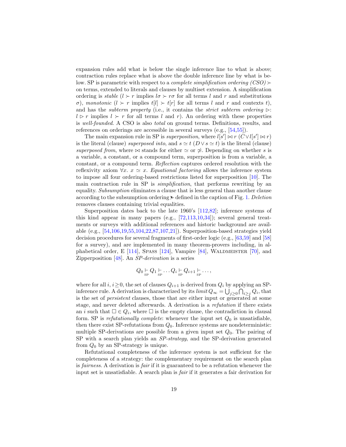expansion rules add what is below the single inference line to what is above; contraction rules replace what is above the double inference line by what is below. SP is parametric with respect to a *complete simplification ordering*  $(CSO)$ on terms, extended to literals and clauses by multiset extension. A simplification ordering is *stable*  $(l \succ r$  implies  $l\sigma \succ r\sigma$  for all terms l and r and substitutions σ), monotonic  $(l \succ r$  implies  $t[l] \succ t[r]$  for all terms l and r and contexts t), and has the *subterm property* (i.e., it contains the *strict subterm ordering*  $\triangleright$ :  $l \triangleright r$  implies  $l \triangleright r$  for all terms l and r). An ordering with these properties is well-founded. A CSO is also total on ground terms. Definitions, results, and references on orderings are accessible in several surveys (e.g., [\[54,](#page-29-12)[55\]](#page-29-13)).

The main expansion rule in SP is *superposition*, where  $l[s'] \bowtie r$   $(C \vee l[s'] \bowtie r)$ is the literal (clause) superposed into, and  $s \simeq t$  (D  $\vee$  s  $\simeq t$ ) is the literal (clause) superposed from, where  $\bowtie$  stands for either  $\cong$  or  $\not\cong$ . Depending on whether s is a variable, a constant, or a compound term, superposition is from a variable, a constant, or a compound term. Reflection captures ordered resolution with the reflexivity axiom  $\forall x. x \simeq x.$  Equational factoring allows the inference system to impose all four ordering-based restrictions listed for superposition [\[10\]](#page-27-8). The main contraction rule in SP is simplification, that performs rewriting by an equality. Subsumption eliminates a clause that is less general than another clause according to the subsumption ordering  $\triangleright$  defined in the caption of Fig. [1.](#page-18-0) Deletion removes clauses containing trivial equalities.

Superposition dates back to the late  $1960's$  [ $112,82$ ]; inference systems of this kind appear in many papers (e.g., [\[72,](#page-30-3)[113](#page-32-13)[,10,](#page-27-8)[34\]](#page-28-6)); several general treatments or surveys with additional references and historic background are available (e.g., [\[54,](#page-29-12)[106,](#page-32-14)[19](#page-27-13)[,55](#page-29-13)[,104,](#page-32-15)[22,](#page-27-9)[87](#page-31-11)[,107,](#page-32-16)[21\]](#page-27-14)). Superposition-based strategies yield decision procedures for several fragments of first-order logic (e.g., [\[63](#page-30-8)[,59\]](#page-29-14) and [\[58\]](#page-29-15) for a survey), and are implemented in many theorem-provers including, in alphabetical order, E  $[114]$ , Spass  $[124]$ , Vampire  $[84]$ , WALDMEISTER  $[70]$ , and Zipperposition [\[48\]](#page-29-16). An SP-derivation is a series

$$
Q_0 \underset{\text{SP}}{\vdash} Q_1 \underset{\text{SP}}{\vdash} \dots Q_i \underset{\text{SP}}{\vdash} Q_{i+1} \underset{\text{SP}}{\vdash} \dots,
$$

where for all  $i, i \geq 0$ , the set of clauses  $Q_{i+1}$  is derived from  $Q_i$  by applying an SPinference rule. A derivation is characterized by its  $\lim_{i} Q_{\infty} = \bigcup_{j \geq 0} \bigcap_{i \geq j} Q_i$ , that is the set of persistent clauses, those that are either input or generated at some stage, and never deleted afterwards. A derivation is a refutation if there exists an i such that  $\square \in Q_i$ , where  $\square$  is the empty clause, the contradiction in clausal form. SP is refutationally complete: whenever the input set  $Q_0$  is unsatisfiable, then there exist SP-refutations from  $Q_0$ . Inference systems are nondeterministic: multiple SP-derivations are possible from a given input set  $Q_0$ . The pairing of SP with a search plan yields an SP-strategy, and the SP-derivation generated from  $Q_0$  by an SP-strategy is unique.

Refutational completeness of the inference system is not sufficient for the completeness of a strategy: the complementary requirement on the search plan is fairness. A derivation is fair if it is guaranteed to be a refutation whenever the input set is unsatisfiable. A search plan is fair if it generates a fair derivation for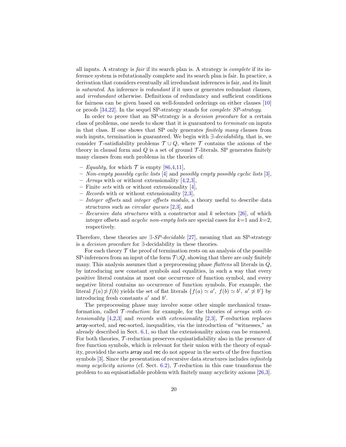all inputs. A strategy is fair if its search plan is. A strategy is complete if its inference system is refutationally complete and its search plan is fair. In practice, a derivation that considers eventually all irredundant inferences is fair, and its limit is saturated. An inference is redundant if it uses or generates redundant clauses, and irredundant otherwise. Definitions of redundancy and sufficient conditions for fairness can be given based on well-founded orderings on either clauses [\[10\]](#page-27-8) or proofs [\[34](#page-28-6)[,22\]](#page-27-9). In the sequel SP-strategy stands for complete SP-strategy.

In order to prove that an SP-strategy is a *decision procedure* for a certain class of problems, one needs to show that it is guaranteed to terminate on inputs in that class. If one shows that SP only generates finitely many clauses from such inputs, termination is guaranteed. We begin with ∃-decidability, that is, we consider T-satisfiability problems  $\mathcal{T} \cup Q$ , where T contains the axioms of the theory in clausal form and  $Q$  is a set of ground  $\mathcal T$ -literals. SP generates finitely many clauses from such problems in the theories of:

- Equality, for which  $\mathcal T$  is empty [\[86,](#page-31-13)[4](#page-26-4)[,11\]](#page-27-15),
- $-$  Non-empty possibly cyclic lists [\[4\]](#page-26-4) and possibly empty possibly cyclic lists [\[3\]](#page-26-6),
- $-$  *Arrays* with or without extensionality [\[4,](#page-26-4)[2,](#page-26-5)[3\]](#page-26-6),
- Finite *sets* with or without extensionality  $[4]$ ,
- Records with or without extensionality [\[2,](#page-26-5)[3\]](#page-26-6),
- Integer offsets and integer offsets modulo, a theory useful to describe data structures such as circular queues [\[2](#page-26-5)[,3\]](#page-26-6), and
- Recursive data structures with a constructor and  $k$  selectors [\[26\]](#page-27-10), of which integer offsets and *acyclic non-empty lists* are special cases for  $k=1$  and  $k=2$ , respectively.

Therefore, these theories are ∃-SP-decidable [\[27\]](#page-28-15), meaning that an SP-strategy is a decision procedure for ∃-decidability in these theories.

For each theory  $\mathcal T$  the proof of termination rests on an analysis of the possible SP-inferences from an input of the form  $T\cup Q$ , showing that there are only finitely many. This analysis assumes that a preprocessing phase *flattens* all literals in  $Q$ , by introducing new constant symbols and equalities, in such a way that every positive literal contains at most one occurrence of function symbol, and every negative literal contains no occurrence of function symbols. For example, the literal  $f(a) \not\approx f(b)$  yields the set of flat literals  $\{f(a) \simeq a', f(b) \simeq b', a' \not\approx b'\}$  by introducing fresh constants  $a'$  and  $b'$ .

The preprocessing phase may involve some other simple mechanical transformation, called  $\mathcal{T}$ -reduction: for example, for the theories of arrays with extensionality  $[4,2,3]$  $[4,2,3]$  $[4,2,3]$  and records with extensionality  $[2,3]$  $[2,3]$ , T-reduction replaces array-sorted, and rec-sorted, inequalities, via the introduction of "witnesses," as already described in Sect. [6.1,](#page-14-0) so that the extensionality axiom can be removed. For both theories,  $\mathcal{T}\text{-reduction preserves equisatisfiability also in the presence of}$ free function symbols, which is relevant for their union with the theory of equality, provided the sorts array and rec do not appear in the sorts of the free function symbols [\[3\]](#page-26-6). Since the presentation of recursive data structures includes infinitely many acyclicity axioms (cf. Sect.  $6.2$ ),  $\mathcal{T}$ -reduction in this case transforms the problem to an equisatisfiable problem with finitely many acyclicity axioms [\[26,](#page-27-10)[3\]](#page-26-6).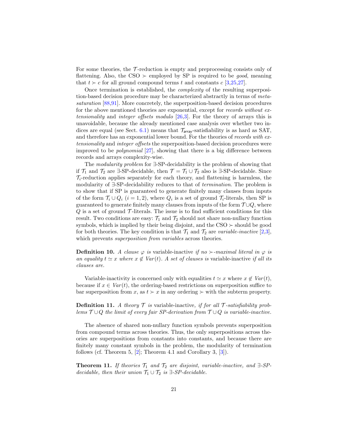For some theories, the  $\mathcal{T}$ -reduction is empty and preprocessing consists only of flattening. Also, the CSO  $\succ$  employed by SP is required to be *good*, meaning that  $t > c$  for all ground compound terms t and constants  $c \left[3,25,27\right]$  $c \left[3,25,27\right]$  $c \left[3,25,27\right]$  $c \left[3,25,27\right]$ .

Once termination is established, the complexity of the resulting superposition-based decision procedure may be characterized abstractly in terms of metasaturation [\[88](#page-31-14)[,91\]](#page-31-15). More concretely, the superposition-based decision procedures for the above mentioned theories are exponential, except for *records without ex*tensionality and integer offsets modulo [\[26,](#page-27-10)[3\]](#page-26-6). For the theory of arrays this is unavoidable, because the already mentioned case analysis over whether two in-dices are equal (see Sect. [6.1\)](#page-14-0) means that  $\mathcal{T}_{array}$ -satisfiability is as hard as SAT, and therefore has an exponential lower bound. For the theories of records with extensionality and integer offsets the superposition-based decision procedures were improved to be polynomial [\[27\]](#page-28-15), showing that there is a big difference between records and arrays complexity-wise.

The modularity problem for ∃-SP-decidability is the problem of showing that if  $\mathcal{T}_1$  and  $\mathcal{T}_2$  are ∃-SP-decidable, then  $\mathcal{T} = \mathcal{T}_1 \cup \mathcal{T}_2$  also is ∃-SP-decidable. Since  $\mathcal{T}_i$ -reduction applies separately for each theory, and flattening is harmless, the modularity of ∃-SP-decidability reduces to that of termination. The problem is to show that if SP is guaranteed to generate finitely many clauses from inputs of the form  $\mathcal{T}_i \cup Q_i$   $(i = 1, 2)$ , where  $Q_i$  is a set of ground  $\mathcal{T}_i$ -literals, then SP is guaranteed to generate finitely many clauses from inputs of the form  $\mathcal{T} \cup Q$ , where  $Q$  is a set of ground  $\mathcal T$ -literals. The issue is to find sufficient conditions for this result. Two conditions are easy:  $\mathcal{T}_1$  and  $\mathcal{T}_2$  should not share non-nullary function symbols, which is implied by their being disjoint, and the  $\text{CSO} \succ \text{should be good}$ for both theories. The key condition is that  $\mathcal{T}_1$  and  $\mathcal{T}_2$  are variable-inactive [\[2](#page-26-5)[,3\]](#page-26-6), which prevents *superposition from variables* across theories.

**Definition 10.** A clause  $\varphi$  is variable-inactive if no  $\succ$ -maximal literal in  $\varphi$  is an equality  $t \simeq x$  where  $x \notin Var(t)$ . A set of clauses is variable-inactive if all its clauses are.

Variable-inactivity is concerned only with equalities  $t \approx x$  where  $x \notin Var(t)$ , because if  $x \in Var(t)$ , the ordering-based restrictions on superposition suffice to bar superposition from x, as  $t > x$  in any ordering  $\succ$  with the subterm property.

**Definition 11.** A theory  $\mathcal T$  is variable-inactive, if for all  $\mathcal T$ -satisfiability problems  $\mathcal{T} \cup Q$  the limit of every fair SP-derivation from  $\mathcal{T} \cup Q$  is variable-inactive.

The absence of shared non-nullary function symbols prevents superposition from compound terms across theories. Thus, the only superpositions across theories are superpositions from constants into constants, and because there are finitely many constant symbols in the problem, the modularity of termination follows (cf. Theorem 5,  $[2]$ ; Theorem 4.1 and Corollary 3,  $[3]$ ).

**Theorem 11.** If theories  $\mathcal{T}_1$  and  $\mathcal{T}_2$  are disjoint, variable-inactive, and  $\exists$ -SPdecidable, then their union  $\mathcal{T}_1 \cup \mathcal{T}_2$  is  $\exists$ -SP-decidable.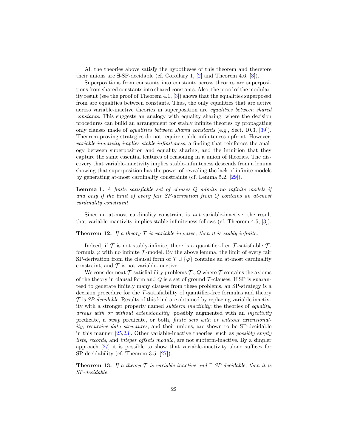All the theories above satisfy the hypotheses of this theorem and therefore their unions are  $\exists$ -SP-decidable (cf. Corollary 1, [\[2\]](#page-26-5) and Theorem 4.6, [\[3\]](#page-26-6)).

Superpositions from constants into constants across theories are superpositions from shared constants into shared constants. Also, the proof of the modularity result (see the proof of Theorem 4.1, [\[3\]](#page-26-6)) shows that the equalities superposed from are equalities between constants. Thus, the only equalities that are active across variable-inactive theories in superposition are equalities between shared constants. This suggests an analogy with equality sharing, where the decision procedures can build an arrangement for stably infinite theories by propagating only clauses made of equalities between shared constants (e.g., Sect. 10.3, [\[39\]](#page-28-11)). Theorem-proving strategies do not require stable infiniteness upfront. However, variable-inactivity implies stable-infiniteness, a finding that reinforces the analogy between superposition and equality sharing, and the intuition that they capture the same essential features of reasoning in a union of theories. The discovery that variable-inactivity implies stable-infiniteness descends from a lemma showing that superposition has the power of revealing the lack of infinite models by generating at-most cardinality constraints (cf. Lemma 5.2, [\[29\]](#page-28-7)).

Lemma 1. A finite satisfiable set of clauses Q admits no infinite models if and only if the limit of every fair SP-derivation from Q contains an at-most cardinality constraint.

Since an at-most cardinality constraint is not variable-inactive, the result that variable-inactivity implies stable-infiniteness follows (cf. Theorem 4.5, [\[3\]](#page-26-6)).

**Theorem 12.** If a theory  $\mathcal T$  is variable-inactive, then it is stably infinite.

Indeed, if  $\mathcal T$  is not stably-infinite, there is a quantifier-free  $\mathcal T$ -satisfiable  $\mathcal T$ formula  $\varphi$  with no infinite T-model. By the above lemma, the limit of every fair SP-derivation from the clausal form of  $\mathcal{T} \cup {\varphi}$  contains an at-most cardinality constraint, and  $\mathcal T$  is not variable-inactive.

We consider next  $\mathcal T$ -satisfiability problems  $\mathcal T \cup Q$  where  $\mathcal T$  contains the axioms of the theory in clausal form and  $Q$  is a set of ground  $\mathcal T$ -clauses. If SP is guaranteed to generate finitely many clauses from these problems, an SP-strategy is a decision procedure for the  $\mathcal T$ -satisfiability of quantifier-free formulas and theory  $\mathcal T$  is SP-decidable. Results of this kind are obtained by replacing variable inactivity with a stronger property named subterm inactivity: the theories of equality, arrays with or without extensionality, possibly augmented with an injectivity predicate, a swap predicate, or both, finite sets with or without extensionality, recursive data structures, and their unions, are shown to be SP-decidable in this manner  $[25,23]$  $[25,23]$ . Other variable-inactive theories, such as *possibly empty* lists, records, and integer offsets modulo, are not subterm-inactive. By a simpler approach [\[27\]](#page-28-15) it is possible to show that variable-inactivity alone suffices for SP-decidability (cf. Theorem 3.5, [\[27\]](#page-28-15)).

**Theorem 13.** If a theory  $\mathcal T$  is variable-inactive and  $\exists$ -SP-decidable, then it is SP-decidable.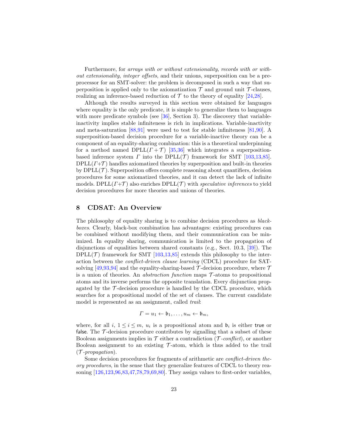Furthermore, for arrays with or without extensionality, records with or without extensionality, integer offsets, and their unions, superposition can be a preprocessor for an SMT-solver: the problem is decomposed in such a way that superposition is applied only to the axiomatization  $\mathcal T$  and ground unit  $\mathcal T$ -clauses, realizing an inference-based reduction of  $\mathcal T$  to the theory of equality [\[24,](#page-27-12)[28\]](#page-28-3).

Although the results surveyed in this section were obtained for languages where equality is the only predicate, it is simple to generalize them to languages with more predicate symbols (see  $[36]$ , Section 3). The discovery that variableinactivity implies stable infiniteness is rich in implications. Variable-inactivity and meta-saturation [\[88,](#page-31-14)[91\]](#page-31-15) were used to test for stable infiniteness [\[81,](#page-30-10)[90\]](#page-31-16). A superposition-based decision procedure for a variable-inactive theory can be a component of an equality-sharing combination: this is a theoretical underpinning for a method named  $DPLL(\Gamma + \mathcal{T})$  [\[35](#page-28-16)[,36\]](#page-28-4) which integrates a superpositionbased inference system  $\Gamma$  into the DPLL( $\mathcal{T}$ ) framework for SMT [\[103,](#page-32-6)[13](#page-27-7)[,85\]](#page-31-5).  $DPLL(\Gamma+\mathcal{T})$  handles axiomatized theories by superposition and built-in theories by  $DPLL(\mathcal{T})$ . Superposition offers complete reasoning about quantifiers, decision procedures for some axiomatized theories, and it can detect the lack of infinite models. DPLL $(T+T)$  also enriches DPLL $(T)$  with *speculative inferences* to yield decision procedures for more theories and unions of theories.

## <span id="page-23-0"></span>8 CDSAT: An Overview

The philosophy of equality sharing is to combine decision procedures as blackboxes. Clearly, black-box combination has advantages: existing procedures can be combined without modifying them, and their communication can be minimized. In equality sharing, communication is limited to the propagation of disjunctions of equalities between shared constants (e.g., Sect. 10.3, [\[39\]](#page-28-11)). The DPLL(T) framework for SMT [\[103,](#page-32-6)[13,](#page-27-7)[85\]](#page-31-5) extends this philosophy to the interaction between the conflict-driven clause learning (CDCL) procedure for SAT-solving [\[49,](#page-29-7)[93](#page-31-3)[,94\]](#page-31-4) and the equality-sharing-based  $\mathcal T$ -decision procedure, where  $\mathcal T$ is a union of theories. An *abstraction function* maps  $\mathcal{T}$ -atoms to propositional atoms and its inverse performs the opposite translation. Every disjunction propagated by the  $\mathcal T$ -decision procedure is handled by the CDCL procedure, which searches for a propositional model of the set of clauses. The current candidate model is represented as an assignment, called *trail*:

$$
\Gamma = u_1 \leftarrow \mathfrak{b}_1, \dots, u_m \leftarrow \mathfrak{b}_m,
$$

where, for all  $i, 1 \leq i \leq m$ ,  $u_i$  is a propositional atom and  $\mathfrak{b}_i$  is either true or false. The  $\mathcal T$ -decision procedure contributes by signalling that a subset of these Boolean assignments implies in  $\mathcal T$  either a contradiction ( $\mathcal T$ -conflict), or another Boolean assignment to an existing  $\mathcal{T}$ -atom, which is thus added to the trail  $(\mathcal{T}\text{-}propaqation).$ 

Some decision procedures for fragments of arithmetic are conflict-driven theory procedures, in the sense that they generalize features of CDCL to theory reasoning [\[126,](#page-33-3)[123,](#page-33-4)[96,](#page-31-17)[83](#page-31-18)[,47,](#page-29-17)[78](#page-30-11)[,79](#page-30-12)[,69,](#page-30-13)[80\]](#page-30-14). They assign values to first-order variables,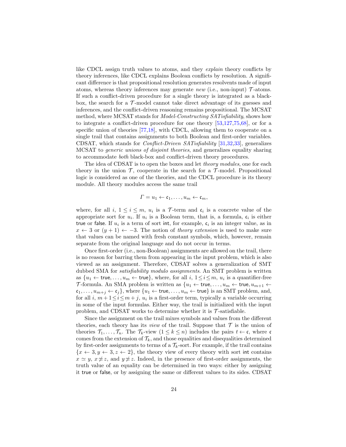like CDCL assign truth values to atoms, and they explain theory conflicts by theory inferences, like CDCL explains Boolean conflicts by resolution. A significant difference is that propositional resolution generates resolvents made of input atoms, whereas theory inferences may generate new (i.e., non-input)  $\mathcal{T}\text{-atoms}$ . If such a conflict-driven procedure for a single theory is integrated as a blackbox, the search for a  $\mathcal{T}$ -model cannot take direct advantage of its guesses and inferences, and the conflict-driven reasoning remains propositional. The MCSAT method, where MCSAT stands for *Model-Constructing SATisfiability*, shows how to integrate a conflict-driven procedure for one theory [\[53](#page-29-18)[,127,](#page-33-5)[75,](#page-30-15)[68\]](#page-30-16), or for a specific union of theories [\[77](#page-30-17)[,18\]](#page-27-18), with CDCL, allowing them to cooperate on a single trail that contains assignments to both Boolean and first-order variables. CDSAT, which stands for Conflict-Driven SATisfiability [\[31](#page-28-8)[,32,](#page-28-9)[33\]](#page-28-10), generalizes MCSAT to generic unions of disjoint theories, and generalizes equality sharing to accommodate both black-box and conflict-driven theory procedures.

The idea of CDSAT is to open the boxes and let *theory modules*, one for each theory in the union  $\mathcal{T}$ , cooperate in the search for a  $\mathcal{T}$ -model. Propositional logic is considered as one of the theories, and the CDCL procedure is its theory module. All theory modules access the same trail

$$
\Gamma = u_1 \leftarrow \mathfrak{c}_1, \ldots, u_m \leftarrow \mathfrak{c}_m,
$$

where, for all  $i, 1 \leq i \leq m$ ,  $u_i$  is a  $\mathcal{T}$ -term and  $\mathfrak{c}_i$  is a concrete value of the appropriate sort for  $u_i$ . If  $u_i$  is a Boolean term, that is, a formula,  $c_i$  is either true or false. If  $u_i$  is a term of sort int, for example,  $c_i$  is an integer value, as in  $x \leftarrow 3$  or  $(y + 1) \leftarrow -3$ . The notion of theory extension is used to make sure that values can be named with fresh constant symbols, which, however, remain separate from the original language and do not occur in terms.

Once first-order (i.e., non-Boolean) assignments are allowed on the trail, there is no reason for barring them from appearing in the input problem, which is also viewed as an assignment. Therefore, CDSAT solves a generalization of SMT dubbed SMA for *satisfiability modulo assignments*. An SMT problem is written as  $\{u_1 \leftarrow \textsf{true}, \ldots, u_m \leftarrow \textsf{true}\}, \text{ where, for all } i, 1 \leq i \leq m, u_i \text{ is a quantifier-free}$ T-formula. An SMA problem is written as  $\{u_1 \leftarrow \text{true}, \ldots, u_m \leftarrow \text{true}, u_{m+1} \leftarrow \}$  $c_1, \ldots, u_{m+j} \leftarrow c_j$ , where  $\{u_1 \leftarrow \text{true}, \ldots, u_m \leftarrow \text{true}\}$  is an SMT problem, and, for all  $i, m+1 \leq i \leq m+j$ ,  $u_i$  is a first-order term, typically a variable occurring in some of the input formulas. Either way, the trail is initialized with the input problem, and CDSAT works to determine whether it is  $\mathcal{T}$ -satisfiable.

Since the assignment on the trail mixes symbols and values from the different theories, each theory has its *view* of the trail. Suppose that  $\mathcal T$  is the union of theories  $\mathcal{T}_1, \ldots, \mathcal{T}_n$ . The  $\mathcal{T}_k$ -view  $(1 \leq k \leq n)$  includes the pairs  $t \leftarrow \mathfrak{c}$ , where  $\mathfrak{c}$ comes from the extension of  $\mathcal{T}_k$ , and those equalities and disequalities determined by first-order assignments to terms of a  $\mathcal{T}_k$ -sort. For example, if the trail contains  ${x \leftarrow 3, y \leftarrow 3, z \leftarrow 2}$ , the theory view of every theory with sort int contains  $x \simeq y$ ,  $x \not\cong z$ , and  $y \not\cong z$ . Indeed, in the presence of first-order assignments, the truth value of an equality can be determined in two ways: either by assigning it true or false, or by assigning the same or different values to its sides. CDSAT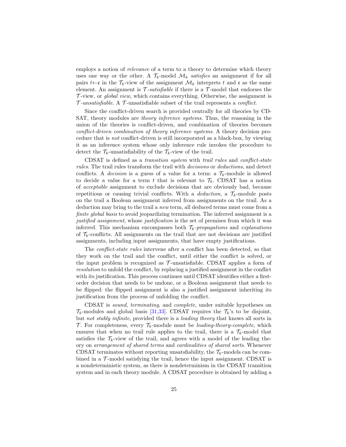employs a notion of *relevance* of a term to a theory to determine which theory uses one way or the other. A  $\mathcal{T}_k$ -model  $\mathcal{M}_k$  satisfies an assignment if for all pairs  $t \leftarrow \mathfrak{c}$  in the  $\mathcal{T}_k$ -view of the assignment  $\mathcal{M}_k$  interprets t and  $\mathfrak{c}$  as the same element. An assignment is  $\mathcal{T}\text{-}satisfiable$  if there is a  $\mathcal{T}\text{-model}$  that endorses the  $\mathcal{T}$ -view, or *global view*, which contains everything. Otherwise, the assignment is  $\mathcal{T}\text{-}unsatisfiable. A \mathcal{T}\text{-}unsatisfiable subset of the trail represents a conflict.$ 

Since the conflict-driven search is provided centrally for all theories by CD-SAT, theory modules are theory inference systems. Thus, the reasoning in the union of the theories is conflict-driven, and combination of theories becomes conflict-driven combination of theory inference systems. A theory decision procedure that is not conflict-driven is still incorporated as a black-box, by viewing it as an inference system whose only inference rule invokes the procedure to detect the  $\mathcal{T}_k$ -unsatisfiability of the  $\mathcal{T}_k$ -view of the trail.

CDSAT is defined as a transition system with trail rules and conflict-state rules. The trail rules transform the trail with decisions or deductions, and detect conflicts. A *decision* is a guess of a value for a term: a  $\mathcal{T}_k$ -module is allowed to decide a value for a term t that is relevant to  $\mathcal{T}_k$ . CDSAT has a notion of acceptable assignment to exclude decisions that are obviously bad, because repetitious or causing trivial conflicts. With a *deduction*, a  $\mathcal{T}_k$ -module posts on the trail a Boolean assignment inferred from assignments on the trail. As a deduction may bring to the trail a new term, all deduced terms must come from a finite global basis to avoid jeopardizing termination. The inferred assignment is a justified assignment, whose justification is the set of premises from which it was inferred. This mechanism encompasses both  $\mathcal{T}_k$ -propagations and explanations of  $\mathcal{T}_k$ -conflicts. All assignments on the trail that are not decisions are justified assignments, including input assignments, that have empty justifications.

The conflict-state rules intervene after a conflict has been detected, so that they work on the trail and the conflict, until either the conflict is solved, or the input problem is recognized as  $\mathcal{T}$ -unsatisfiable. CDSAT applies a form of resolution to unfold the conflict, by replacing a justified assignment in the conflict with its justification. This process continues until CDSAT identifies either a firstorder decision that needs to be undone, or a Boolean assignment that needs to be flipped: the flipped assignment is also a justified assignment inheriting its justification from the process of unfolding the conflict.

CDSAT is sound, terminating, and complete, under suitable hypotheses on  $\mathcal{T}_k$ -modules and global basis [\[31,](#page-28-8)[33\]](#page-28-10). CDSAT requires the  $\mathcal{T}_k$ 's to be disjoint, but not stably infinite, provided there is a leading theory that knows all sorts in  $\mathcal T$ . For completeness, every  $\mathcal T_k$ -module must be *leading-theory-complete*, which ensures that when no trail rule applies to the trail, there is a  $\mathcal{T}_k$ -model that satisfies the  $\mathcal{T}_k$ -view of the trail, and agrees with a model of the leading theory on arrangement of shared terms and cardinalities of shared sorts. Whenever CDSAT terminates without reporting unsatsfiability, the  $\mathcal{T}_k$ -models can be combined in a  $\mathcal{T}$ -model satisfying the trail, hence the input assignment. CDSAT is a nondeterministic system, as there is nondeterminism in the CDSAT transition system and in each theory module. A CDSAT procedure is obtained by adding a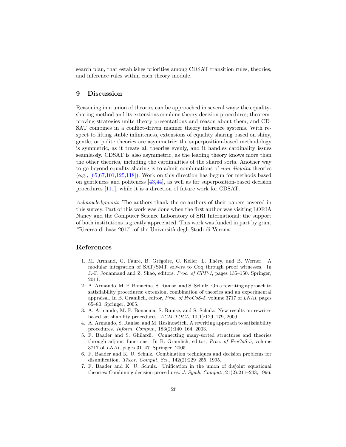search plan, that establishes priorities among CDSAT transition rules, theories, and inference rules within each theory module.

#### <span id="page-26-7"></span>9 Discussion

Reasoning in a union of theories can be approached in several ways: the equalitysharing method and its extensions combine theory decision procedures; theoremproving strategies unite theory presentations and reason about them; and CD-SAT combines in a conflict-driven manner theory inference systems. With respect to lifting stable infiniteness, extensions of equality sharing based on shiny, gentle, or polite theories are asymmetric; the superposition-based methodology is symmetric, as it treats all theories evenly, and it handles cardinality issues seamlessly. CDSAT is also asymmetric, as the leading theory knows more than the other theories, including the cardinalities of the shared sorts. Another way to go beyond equality sharing is to admit combinations of non-disjoint theories (e.g., [\[65](#page-30-18)[,67](#page-30-7)[,101,](#page-31-19)[125,](#page-33-6)[118\]](#page-32-11)). Work on this direction has begun for methods based on gentleness and politeness [\[43,](#page-28-13)[44\]](#page-29-11), as well as for superposition-based decision procedures [\[111\]](#page-32-18), while it is a direction of future work for CDSAT.

Acknowledgments The authors thank the co-authors of their papers covered in this survey. Part of this work was done when the first author was visiting LORIA Nancy and the Computer Science Laboratory of SRI International: the support of both institutions is greatly appreciated. This work was funded in part by grant "Ricerca di base 2017" of the Università degli Studi di Verona.

## References

- <span id="page-26-0"></span>1. M. Armand, G. Faure, B. Grégoire, C. Keller, L. Théry, and B. Werner. A modular integration of SAT/SMT solvers to Coq through proof witnesses. In J.-P. Jouannaud and Z. Shao, editors, Proc. of CPP-1, pages 135–150. Springer, 2011.
- <span id="page-26-5"></span>2. A. Armando, M. P. Bonacina, S. Ranise, and S. Schulz. On a rewriting approach to satisfiability procedures: extension, combination of theories and an experimental appraisal. In B. Gramlich, editor, Proc. of FroCoS-5, volume 3717 of LNAI, pages 65–80. Springer, 2005.
- <span id="page-26-6"></span>3. A. Armando, M. P. Bonacina, S. Ranise, and S. Schulz. New results on rewritebased satisfiability procedures. ACM TOCL, 10(1):129–179, 2009.
- <span id="page-26-4"></span>4. A. Armando, S. Ranise, and M. Rusinowitch. A rewriting approach to satisfiability procedures. Inform. Comput., 183(2):140–164, 2003.
- <span id="page-26-3"></span>5. F. Baader and S. Ghilardi. Connecting many-sorted structures and theories through adjoint functions. In B. Gramlich, editor, Proc. of FroCoS-5, volume 3717 of LNAI, pages 31–47. Springer, 2005.
- <span id="page-26-1"></span>6. F. Baader and K. U. Schulz. Combination techniques and decision problems for disunification. Theor. Comput. Sci., 142(2):229–255, 1995.
- <span id="page-26-2"></span>7. F. Baader and K. U. Schulz. Unification in the union of disjoint equational theories: Combining decision procedures. J. Symb. Comput.,  $21(2):211-243$ , 1996.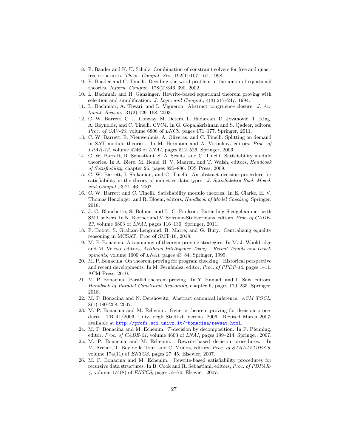- <span id="page-27-5"></span>8. F. Baader and K. U. Schulz. Combination of constraint solvers for free and quasifree structures. Theor. Comput. Sci., 192(1):107–161, 1998.
- <span id="page-27-6"></span>9. F. Baader and C. Tinelli. Deciding the word problem in the union of equational theories. Inform. Comput., 178(2):346–390, 2002.
- <span id="page-27-8"></span>10. L. Bachmair and H. Ganzinger. Rewrite-based equational theorem proving with selection and simplification. J. Logic and Comput., 4(3):217–247, 1994.
- <span id="page-27-15"></span>11. L. Bachmair, A. Tiwari, and L. Vigneron. Abstract congruence closure. J. Automat. Reason., 31(2):129–168, 2003.
- <span id="page-27-3"></span>12. C. W. Barrett, C. L. Conway, M. Deters, L. Hadarean, D. Jovanović, T. King, A. Reynolds, and C. Tinelli. CVC4. In G. Gopalakrishnan and S. Qadeer, editors, Proc. of CAV-23, volume 6806 of LNCS, pages 171–177. Springer, 2011.
- <span id="page-27-7"></span>13. C. W. Barrett, R. Nieuwenhuis, A. Oliveras, and C. Tinelli. Splitting on demand in SAT modulo theories. In M. Hermann and A. Voronkov, editors, Proc. of  $LPAR-13$ , volume 4246 of  $LNAI$ , pages 512–526. Springer, 2006.
- <span id="page-27-1"></span>14. C. W. Barrett, R. Sebastiani, S. A. Seshia, and C. Tinelli. Satisfiability modulo theories. In A. Biere, M. Heule, H. V. Maaren, and T. Walsh, editors, Handbook of Satisfiability, chapter 26, pages 825–886. IOS Press, 2009.
- <span id="page-27-11"></span>15. C. W. Barrett, I. Shikanian, and C. Tinelli. An abstract decision procedure for satisfiability in the theory of inductive data types. J. Satisfiability Bool. Model. and Comput., 3:21–46, 2007.
- <span id="page-27-2"></span>16. C. W. Barrett and C. Tinelli. Satisfiability modulo theories. In E. Clarke, H. V. Thomas Henzinger, and R. Bloem, editors, Handbook of Model Checking. Springer, 2018.
- <span id="page-27-4"></span>17. J. C. Blanchette, S. Böhme, and L. C. Paulson. Extending Sledgehammer with SMT solvers. In N. Bjørner and V. Sofronie-Stokkermans, editors, Proc. of CADE-23, volume 6803 of LNAI, pages 116–130. Springer, 2011.
- <span id="page-27-18"></span>18. F. Bobot, S. Graham-Lengrand, B. Marre, and G. Bury. Centralizing equality reasoning in MCSAT. Proc of SMT-16, 2018.
- <span id="page-27-13"></span>19. M. P. Bonacina. A taxonomy of theorem-proving strategies. In M. J. Wooldridge and M. Veloso, editors, Artificial Intelligence Today – Recent Trends and Developments, volume 1600 of LNAI, pages 43–84. Springer, 1999.
- <span id="page-27-0"></span>20. M. P. Bonacina. On theorem proving for program checking – Historical perspective and recent developments. In M. Fernàndez, editor, Proc. of PPDP-12, pages  $1-11$ . ACM Press, 2010.
- <span id="page-27-14"></span>21. M. P. Bonacina. Parallel theorem proving. In Y. Hamadi and L. Sais, editors, Handbook of Parallel Constraint Reasoning, chapter 6, pages 179–235. Springer, 2018.
- <span id="page-27-9"></span>22. M. P. Bonacina and N. Dershowitz. Abstract canonical inference. ACM TOCL, 8(1):180–208, 2007.
- <span id="page-27-17"></span>23. M. P. Bonacina and M. Echenim. Generic theorem proving for decision procedures. TR 41/2006, Univ. degli Studi di Verona, 2006. Revised March 2007; available at <http://profs.sci.univr.it/~bonacina/rewsat.html>.
- <span id="page-27-12"></span>24. M. P. Bonacina and M. Echenim. T -decision by decomposition. In F. Pfenning, editor, Proc. of CADE-21, volume 4603 of LNAI, pages 199–214. Springer, 2007.
- <span id="page-27-16"></span>25. M. P. Bonacina and M. Echenim. Rewrite-based decision procedures. In M. Archer, T. Boy de la Tour, and C. Muñoz, editors, Proc. of STRATEGIES-6, volume 174(11) of ENTCS, pages 27–45. Elsevier, 2007.
- <span id="page-27-10"></span>26. M. P. Bonacina and M. Echenim. Rewrite-based satisfiability procedures for recursive data structures. In B. Cook and R. Sebastiani, editors, Proc. of PDPAR-4, volume 174(8) of ENTCS, pages 55–70. Elsevier, 2007.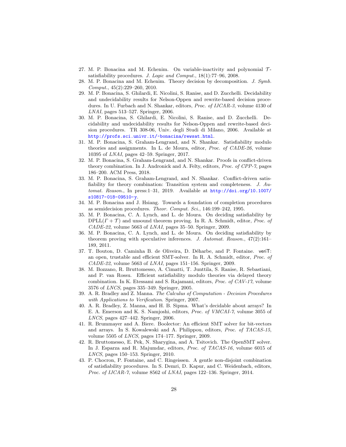- <span id="page-28-15"></span>27. M. P. Bonacina and M. Echenim. On variable-inactivity and polynomial  $\mathcal{T}$ satisfiability procedures. J. Logic and Comput., 18(1):77–96, 2008.
- <span id="page-28-3"></span>28. M. P. Bonacina and M. Echenim. Theory decision by decomposition. J. Symb. Comput., 45(2):229–260, 2010.
- <span id="page-28-7"></span>29. M. P. Bonacina, S. Ghilardi, E. Nicolini, S. Ranise, and D. Zucchelli. Decidability and undecidability results for Nelson-Oppen and rewrite-based decision procedures. In U. Furbach and N. Shankar, editors, Proc. of IJCAR-3, volume 4130 of LNAI, pages 513–527. Springer, 2006.
- <span id="page-28-12"></span>30. M. P. Bonacina, S. Ghilardi, E. Nicolini, S. Ranise, and D. Zucchelli. Decidability and undecidability results for Nelson-Oppen and rewrite-based decision procedures. TR 308-06, Univ. degli Studi di Milano, 2006. Available at <http://profs.sci.univr.it/~bonacina/rewsat.html>.
- <span id="page-28-8"></span>31. M. P. Bonacina, S. Graham-Lengrand, and N. Shankar. Satisfiability modulo theories and assignments. In L. de Moura, editor, Proc. of CADE-26, volume 10395 of LNAI, pages 42–59. Springer, 2017.
- <span id="page-28-9"></span>32. M. P. Bonacina, S. Graham-Lengrand, and N. Shankar. Proofs in conflict-driven theory combination. In J. Andronick and A. Felty, editors, Proc. of CPP-7, pages 186–200. ACM Press, 2018.
- <span id="page-28-10"></span>33. M. P. Bonacina, S. Graham-Lengrand, and N. Shankar. Conflict-driven satisfiability for theory combination: Transition system and completeness. J. Automat. Reason., In press:1–31, 2019. Available at [http://doi.org/10.1007/](http://doi.org/10.1007/s10817-018-09510-y) [s10817-018-09510-y](http://doi.org/10.1007/s10817-018-09510-y).
- <span id="page-28-6"></span>34. M. P. Bonacina and J. Hsiang. Towards a foundation of completion procedures as semidecision procedures. Theor. Comput. Sci., 146:199–242, 1995.
- <span id="page-28-16"></span>35. M. P. Bonacina, C. A. Lynch, and L. de Moura. On deciding satisfiability by  $DPLL(\Gamma + \mathcal{T})$  and unsound theorem proving. In R. A. Schmidt, editor, *Proc. of* CADE-22, volume 5663 of LNAI, pages 35–50. Springer, 2009.
- <span id="page-28-4"></span>36. M. P. Bonacina, C. A. Lynch, and L. de Moura. On deciding satisfiability by theorem proving with speculative inferences. J. Automat. Reason.,  $47(2):161-$ 189, 2011.
- <span id="page-28-2"></span>37. T. Bouton, D. Caminha B. de Oliveira, D. Déharbe, and P. Fontaine. veriT: an open, trustable and efficient SMT-solver. In R. A. Schmidt, editor, Proc. of  $CADE-22$ , volume 5663 of  $LNAI$ , pages 151–156. Springer, 2009.
- <span id="page-28-5"></span>38. M. Bozzano, R. Bruttomesso, A. Cimatti, T. Junttila, S. Ranise, R. Sebastiani, and P. van Rossu. Efficient satisfiability modulo theories via delayed theory combination. In K. Etessami and S. Rajamani, editors, Proc. of CAV-17, volume 3576 of LNCS, pages 335–349. Springer, 2005.
- <span id="page-28-11"></span>39. A. R. Bradley and Z. Manna. The Calculus of Computation - Decision Procedures with Applications to Verification. Springer, 2007.
- <span id="page-28-14"></span>40. A. R. Bradley, Z. Manna, and H. B. Sipma. What's decidable about arrays? In E. A. Emerson and K. S. Namjoshi, editors, Proc. of VMCAI-7, volume 3055 of LNCS, pages 427–442. Springer, 2006.
- <span id="page-28-0"></span>41. R. Brummayer and A. Biere. Boolector: An efficient SMT solver for bit-vectors and arrays. In S. Kowalewski and A. Philippou, editors, Proc. of TACAS-15, volume 5505 of LNCS, pages 174–177. Springer, 2009.
- <span id="page-28-1"></span>42. R. Bruttomesso, E. Pek, N. Sharygina, and A. Tsitovich. The OpenSMT solver. In J. Esparza and R. Majumdar, editors, Proc. of TACAS-16, volume 6015 of LNCS, pages 150–153. Springer, 2010.
- <span id="page-28-13"></span>43. P. Chocron, P. Fontaine, and C. Ringeissen. A gentle non-disjoint combination of satisfiability procedures. In S. Demri, D. Kapur, and C. Weidenbach, editors, Proc. of IJCAR-7, volume 8562 of LNAI, pages 122–136. Springer, 2014.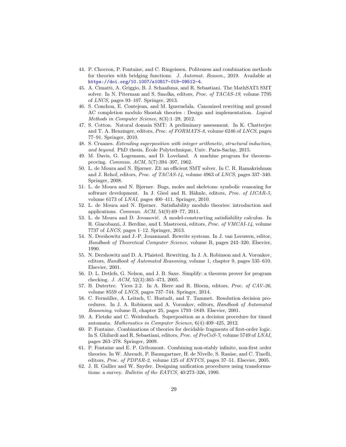- <span id="page-29-11"></span>44. P. Chocron, P. Fontaine, and C. Ringeissen. Politeness and combination methods for theories with bridging functions. J. Automat. Reason., 2019. Available at <https://doi.org/10.1007/s10817-019-09512-4>.
- <span id="page-29-2"></span>45. A. Cimatti, A. Griggio, B. J. Schaafsma, and R. Sebastiani. The MathSAT5 SMT solver. In N. Piterman and S. Smolka, editors, Proc. of TACAS-19, volume 7795 of LNCS, pages 93–107. Springer, 2013.
- <span id="page-29-1"></span>46. S. Conchon, E. Contejean, and M. Iguernelala. Canonized rewriting and ground AC completion modulo Shostak theories : Design and implementation. Logical Methods in Computer Science, 8(3):1–29, 2012.
- <span id="page-29-17"></span>47. S. Cotton. Natural domain SMT: A preliminary assessment. In K. Chatterjee and T. A. Henzinger, editors, Proc. of FORMATS-8, volume 6246 of LNCS, pages 77–91. Springer, 2010.
- <span id="page-29-16"></span>48. S. Cruanes. Extending superposition with integer arithmetic, structural induction, and beyond. PhD thesis, Ecole Polytechnique, Univ. Paris-Saclay, 2015.
- <span id="page-29-7"></span>49. M. Davis, G. Logemann, and D. Loveland. A machine program for theoremproving. Commun. ACM, 5(7):394–397, 1962.
- <span id="page-29-5"></span>50. L. de Moura and N. Bjørner. Z3: an efficient SMT solver. In C. R. Ramakrishnan and J. Rehof, editors, Proc. of TACAS-14, volume 4963 of LNCS, pages 337–340. Springer, 2008.
- <span id="page-29-0"></span>51. L. de Moura and N. Bjørner. Bugs, moles and skeletons: symbolic reasoning for software development. In J. Giesl and R. Hähnle, editors, Proc. of  $IJCAR-5$ , volume 6173 of  $LNAI$ , pages 400–411. Springer, 2010.
- <span id="page-29-6"></span>52. L. de Moura and N. Bjørner. Satisfiability modulo theories: introduction and applications. Commun. ACM, 54(9):69–77, 2011.
- <span id="page-29-18"></span>53. L. de Moura and D. Jovanović. A model-constructing satisfiability calculus. In R. Giacobazzi, J. Berdine, and I. Mastroeni, editors, Proc. of VMCAI-14, volume 7737 of LNCS, pages 1–12. Springer, 2013.
- <span id="page-29-12"></span>54. N. Dershowitz and J.-P. Jouannaud. Rewrite systems. In J. van Leeuwen, editor, Handbook of Theoretical Computer Science, volume B, pages 243–320. Elsevier, 1990.
- <span id="page-29-13"></span>55. N. Dershowitz and D. A. Plaisted. Rewriting. In J. A. Robinson and A. Voronkov, editors, Handbook of Automated Reasoning, volume 1, chapter 9, pages 535–610. Elsevier, 2001.
- <span id="page-29-3"></span>56. D. L. Detlefs, G. Nelson, and J. B. Saxe. Simplify: a theorem prover for program checking. J. ACM, 52(3):365–473, 2005.
- <span id="page-29-4"></span>57. B. Dutertre. Yices 2.2. In A. Biere and R. Bloem, editors, Proc. of CAV-26, volume 8559 of LNCS, pages 737–744. Springer, 2014.
- <span id="page-29-15"></span>58. C. Ferm¨uller, A. Leitsch, U. Hustadt, and T. Tammet. Resolution decision procedures. In J. A. Robinson and A. Voronkov, editors, Handbook of Automated Reasoning, volume II, chapter 25, pages 1793–1849. Elsevier, 2001.
- <span id="page-29-14"></span>59. A. Fietzke and C. Weidenbach. Superposition as a decision procedure for timed automata. Mathematics in Computer Science, 6(4):409–425, 2012.
- <span id="page-29-9"></span>60. P. Fontaine. Combinations of theories for decidable fragments of first-order logic. In S. Ghilardi and R. Sebastiani, editors, Proc. of FroCoS-7, volume 5749 of LNAI, pages 263–278. Springer, 2009.
- <span id="page-29-10"></span>61. P. Fontaine and E. P. Gribomont. Combining non-stably infinite, non-first order theories. In W. Ahrendt, P. Baumgartner, H. de Nivelle, S. Ranise, and C. Tinelli, editors, Proc. of PDPAR-2, volume 125 of ENTCS, pages 37–51. Elsevier, 2005.
- <span id="page-29-8"></span>62. J. H. Gallier and W. Snyder. Designing unification procedures using transformations: a survey. Bulletin of the EATCS,  $40:273-326$ , 1990.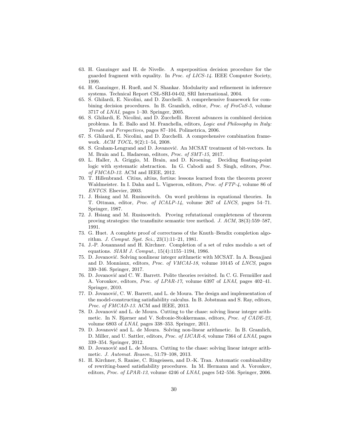- <span id="page-30-8"></span>63. H. Ganzinger and H. de Nivelle. A superposition decision procedure for the guarded fragment with equality. In Proc. of LICS-14. IEEE Computer Society, 1999.
- <span id="page-30-5"></span>64. H. Ganzinger, H. Rueß, and N. Shankar. Modularity and refinement in inference systems. Technical Report CSL-SRI-04-02, SRI International, 2004.
- <span id="page-30-18"></span>65. S. Ghilardi, E. Nicolini, and D. Zucchelli. A comprehensive framework for combining decision procedures. In B. Gramlich, editor, Proc. of FroCoS-5, volume 3717 of LNAI, pages 1–30. Springer, 2005.
- <span id="page-30-6"></span>66. S. Ghilardi, E. Nicolini, and D. Zucchelli. Recent advances in combined decision problems. In E. Ballo and M. Franchella, editors, Logic and Philosophy in Italy: Trends and Perspectives, pages 87–104. Polimetrica, 2006.
- <span id="page-30-7"></span>67. S. Ghilardi, E. Nicolini, and D. Zucchelli. A comprehensive combination framework. ACM TOCL, 9(2):1–54, 2008.
- <span id="page-30-16"></span>68. S. Graham-Lengrand and D. Jovanović. An MCSAT treatment of bit-vectors. In M. Brain and L. Hadarean, editors, Proc. of SMT-15, 2017.
- <span id="page-30-13"></span>69. L. Haller, A. Griggio, M. Brain, and D. Kroening. Deciding floating-point logic with systematic abstraction. In G. Cabodi and S. Singh, editors, Proc. of FMCAD-12. ACM and IEEE, 2012.
- <span id="page-30-9"></span>70. T. Hillenbrand. Citius, altius, fortius: lessons learned from the theorem prover Waldmeister. In I. Dahn and L. Vigneron, editors, *Proc. of FTP-4*, volume 86 of ENTCS. Elsevier, 2003.
- <span id="page-30-2"></span>71. J. Hsiang and M. Rusinowitch. On word problems in equational theories. In T. Ottman, editor, Proc. of ICALP-14, volume 267 of LNCS, pages 54–71. Springer, 1987.
- <span id="page-30-3"></span>72. J. Hsiang and M. Rusinowitch. Proving refutational completeness of theorem proving strategies: the transfinite semantic tree method. J. ACM, 38(3):559–587, 1991.
- <span id="page-30-0"></span>73. G. Huet. A complete proof of correctness of the Knuth–Bendix completion algorithm. J. Comput. Syst. Sci., 23(1):11–21, 1981.
- <span id="page-30-1"></span>74. J.-P. Jouannaud and H. Kirchner. Completion of a set of rules modulo a set of equations. SIAM J. Comput., 15(4):1155–1194, 1986.
- <span id="page-30-15"></span>75. D. Jovanović. Solving nonlinear integer arithmetic with MCSAT. In A. Bouajjani and D. Monniaux, editors, Proc. of VMCAI-18, volume 10145 of LNCS, pages 330–346. Springer, 2017.
- <span id="page-30-4"></span>76. D. Jovanović and C. W. Barrett. Polite theories revisited. In C. G. Fermüller and A. Voronkov, editors, Proc. of LPAR-17, volume 6397 of LNAI, pages 402–41. Springer, 2010.
- <span id="page-30-17"></span>77. D. Jovanović, C. W. Barrett, and L. de Moura. The design and implementation of the model-constructing satisfiability calculus. In B. Jobstman and S. Ray, editors, Proc. of FMCAD-13. ACM and IEEE, 2013.
- <span id="page-30-11"></span>78. D. Jovanović and L. de Moura. Cutting to the chase: solving linear integer arithmetic. In N. Bjørner and V. Sofronie-Stokkermans, editors, Proc. of CADE-23, volume 6803 of LNAI, pages 338–353. Springer, 2011.
- <span id="page-30-12"></span>79. D. Jovanović and L. de Moura. Solving non-linear arithmetic. In B. Gramlich, D. Miller, and U. Sattler, editors, Proc. of IJCAR-6, volume 7364 of LNAI, pages 339–354. Springer, 2012.
- <span id="page-30-14"></span>80. D. Jovanović and L. de Moura. Cutting to the chase: solving linear integer arithmetic. J. Automat. Reason., 51:79–108, 2013.
- <span id="page-30-10"></span>81. H. Kirchner, S. Ranise, C. Ringeissen, and D.-K. Tran. Automatic combinability of rewriting-based satisfiability procedures. In M. Hermann and A. Voronkov, editors, Proc. of LPAR-13, volume 4246 of LNAI, pages 542–556. Springer, 2006.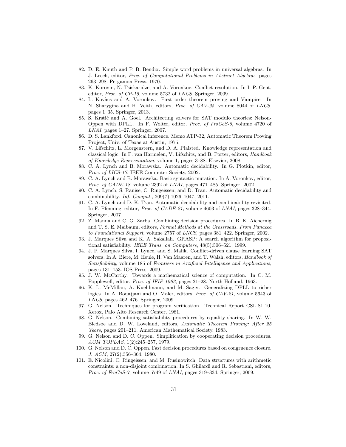- <span id="page-31-6"></span>82. D. E. Knuth and P. B. Bendix. Simple word problems in universal algebras. In J. Leech, editor, Proc. of Computational Problems in Abstract Algebras, pages 263–298. Pergamon Press, 1970.
- <span id="page-31-18"></span>83. K. Korovin, N. Tsiskaridze, and A. Voronkov. Conflict resolution. In I. P. Gent, editor, Proc. of CP-15, volume 5732 of LNCS. Springer, 2009.
- <span id="page-31-12"></span>84. L. Kovàcs and A. Voronkov. First order theorem proving and Vampire. In N. Sharygina and H. Veith, editors, Proc. of CAV-25, volume 8044 of LNCS, pages 1–35. Springer, 2013.
- <span id="page-31-5"></span>85. S. Krstić and A. Goel. Architecting solvers for SAT modulo theories: Nelson-Oppen with DPLL. In F. Wolter, editor, Proc. of FroCoS-6, volume 4720 of  $LNAI$ , pages 1–27. Springer, 2007.
- <span id="page-31-13"></span>86. D. S. Lankford. Canonical inference. Memo ATP-32, Automatic Theorem Proving Project, Univ. of Texas at Austin, 1975.
- <span id="page-31-11"></span>87. V. Lifschitz, L. Morgenstern, and D. A. Plaisted. Knowledge representation and classical logic. In F. van Harmelen, V. Lifschitz, and B. Porter, editors, Handbook of Knowledge Representation, volume 1, pages 3–88. Elsevier, 2008.
- <span id="page-31-14"></span>88. C. A. Lynch and B. Morawska. Automatic decidability. In G. Plotkin, editor, Proc. of LICS-17. IEEE Computer Society, 2002.
- <span id="page-31-7"></span>89. C. A. Lynch and B. Morawska. Basic syntactic mutation. In A. Voronkov, editor, Proc. of CADE-18, volume 2392 of LNAI, pages 471–485. Springer, 2002.
- <span id="page-31-16"></span>90. C. A. Lynch, S. Ranise, C. Ringeissen, and D. Tran. Automatic decidability and combinability. Inf. Comput., 209(7):1026–1047, 2011.
- <span id="page-31-15"></span>91. C. A. Lynch and D.-K. Tran. Automatic decidability and combinability revisited. In F. Pfenning, editor, Proc. of CADE-21, volume 4603 of LNAI, pages 328–344. Springer, 2007.
- <span id="page-31-8"></span>92. Z. Manna and C. G. Zarba. Combining decision procedures. In B. K. Aichernig and T. S. E. Maibaum, editors, Formal Methods at the Crossroads. From Panacea to Foundational Support, volume 2757 of LNCS, pages 381–422. Springer, 2002.
- <span id="page-31-3"></span>93. J. Marques Silva and K. A. Sakallah. GRASP: A search algorithm for propositional satisfiability. IEEE Trans. on Computers, 48(5):506–521, 1999.
- <span id="page-31-4"></span>94. J. P. Marques Silva, I. Lynce, and S. Malik. Conflict-driven clause learning SAT solvers. In A. Biere, M. Heule, H. Van Maaren, and T. Walsh, editors, Handbook of Satisfiability, volume 185 of Frontiers in Artificial Intelligence and Applications, pages 131–153. IOS Press, 2009.
- <span id="page-31-9"></span>95. J. W. McCarthy. Towards a mathematical science of computation. In C. M. Popplewell, editor, Proc. of IFIP 1962, pages 21–28. North Holland, 1963.
- <span id="page-31-17"></span>96. K. L. McMillan, A. Kuehlmann, and M. Sagiv. Generalizing DPLL to richer logics. In A. Bouajjani and O. Maler, editors, *Proc. of CAV-21*, volume 5643 of LNCS, pages 462–476. Springer, 2009.
- <span id="page-31-1"></span>97. G. Nelson. Techniques for program verification. Technical Report CSL-81-10, Xerox, Palo Alto Research Center, 1981.
- <span id="page-31-2"></span>98. G. Nelson. Combining satisfiability procedures by equality sharing. In W. W. Bledsoe and D. W. Loveland, editors, Automatic Theorem Proving: After 25 Years, pages 201–211. American Mathematical Society, 1983.
- <span id="page-31-0"></span>99. G. Nelson and D. C. Oppen. Simplification by cooperating decision procedures. ACM TOPLAS, 1(2):245–257, 1979.
- <span id="page-31-10"></span>100. G. Nelson and D. C. Oppen. Fast decision procedures based on congruence closure. J. ACM, 27(2):356–364, 1980.
- <span id="page-31-19"></span>101. E. Nicolini, C. Ringeissen, and M. Rusinowitch. Data structures with arithmetic constraints: a non-disjoint combination. In S. Ghilardi and R. Sebastiani, editors, Proc. of FroCoS-7, volume 5749 of LNAI, pages 319–334. Springer, 2009.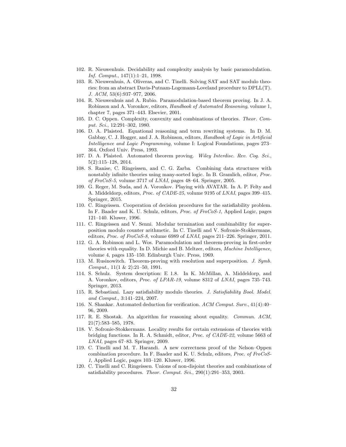- <span id="page-32-7"></span>102. R. Nieuwenhuis. Decidability and complexity analysis by basic paramodulation. Inf. Comput., 147(1):1–21, 1998.
- <span id="page-32-6"></span>103. R. Nieuwenhuis, A. Oliveras, and C. Tinelli. Solving SAT and SAT modulo theories: from an abstract Davis-Putnam-Logemann-Loveland procedure to DPLL(T). J. ACM, 53(6):937–977, 2006.
- <span id="page-32-15"></span>104. R. Nieuwenhuis and A. Rubio. Paramodulation-based theorem proving. In J. A. Robinson and A. Voronkov, editors, Handbook of Automated Reasoning, volume 1, chapter 7, pages 371–443. Elsevier, 2001.
- <span id="page-32-0"></span>105. D. C. Oppen. Complexity, convexity and combinations of theories. Theor. Comput. Sci., 12:291–302, 1980.
- <span id="page-32-14"></span>106. D. A. Plaisted. Equational reasoning and term rewriting systems. In D. M. Gabbay, C. J. Hogger, and J. A. Robinson, editors, Handbook of Logic in Artificial Intelligence and Logic Programming, volume I: Logical Foundations, pages 273– 364. Oxford Univ. Press, 1993.
- <span id="page-32-16"></span>107. D. A. Plaisted. Automated theorem proving. Wiley Interdisc. Rev. Cog. Sci., 5(2):115–128, 2014.
- <span id="page-32-8"></span>108. S. Ranise, C. Ringeissen, and C. G. Zarba. Combining data structures with nonstably infinite theories using many-sorted logic. In B. Gramlich, editor, Proc. of  $FroCoS-5$ , volume 3717 of  $LNAI$ , pages 48–64. Springer, 2005.
- <span id="page-32-3"></span>109. G. Reger, M. Suda, and A. Voronkov. Playing with AVATAR. In A. P. Felty and A. Middeldorp, editors, Proc. of CADE-25, volume 9195 of LNAI, pages 399–415. Springer, 2015.
- <span id="page-32-5"></span>110. C. Ringeissen. Cooperation of decision procedures for the satisfiability problem. In F. Baader and K. U. Schulz, editors, Proc. of FroCoS-1, Applied Logic, pages 121–140. Kluwer, 1996.
- <span id="page-32-18"></span>111. C. Ringeissen and V. Senni. Modular termination and combinability for superposition modulo counter arithmetic. In C. Tinelli and V. Sofronie-Stokkermans, editors, Proc. of FroCoS-8, volume 6989 of LNAI, pages 211–226. Springer, 2011.
- <span id="page-32-12"></span>112. G. A. Robinson and L. Wos. Paramodulation and theorem-proving in first-order theories with equality. In D. Michie and B. Meltzer, editors, *Machine Intelligence*, volume 4, pages 135–150. Edinburgh Univ. Press, 1969.
- <span id="page-32-13"></span>113. M. Rusinowitch. Theorem-proving with resolution and superposition. J. Symb. Comput., 11(1 & 2):21–50, 1991.
- <span id="page-32-17"></span>114. S. Schulz. System description: E 1.8. In K. McMillan, A. Middeldorp, and A. Voronkov, editors, Proc. of LPAR-19, volume 8312 of LNAI, pages 735–743. Springer, 2013.
- <span id="page-32-2"></span>115. R. Sebastiani. Lazy satisfiability modulo theories. J. Satisfiability Bool. Model. and Comput., 3:141–224, 2007.
- <span id="page-32-1"></span>116. N. Shankar. Automated deduction for verification. ACM Comput. Surv., 41(4):40– 96, 2009.
- <span id="page-32-10"></span>117. R. E. Shostak. An algorithm for reasoning about equality. Commun. ACM, 21(7):583–585, 1978.
- <span id="page-32-11"></span>118. V. Sofronie-Stokkermans. Locality results for certain extensions of theories with bridging functions. In R. A. Schmidt, editor, Proc. of CADE-22, volume 5663 of LNAI, pages 67–83. Springer, 2009.
- <span id="page-32-4"></span>119. C. Tinelli and M. T. Harandi. A new correctness proof of the Nelson–Oppen combination procedure. In F. Baader and K. U. Schulz, editors, Proc. of FroCoS-1, Applied Logic, pages 103–120. Kluwer, 1996.
- <span id="page-32-9"></span>120. C. Tinelli and C. Ringeissen. Unions of non-disjoint theories and combinations of satisfiability procedures. Theor. Comput. Sci., 290(1):291-353, 2003.